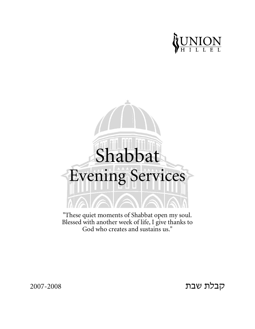



"These quiet moments of Shabbat open my soul. Blessed with another week of life, I give thanks to God who creates and sustains us."

2007-2008

קבלת שבת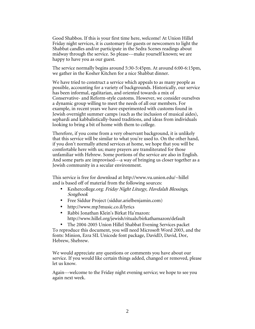Good Shabbos. If this is your first time here, welcome! At Union Hillel Friday night services, it is customary for guests or newcomers to light the Shabbat candles and/or participate in the Sedra Scenes readings about midway through the service. So please---make yourself known; we are happy to have you as our guest.

The service normally begins around 5:30-5:45pm. At around 6:00-6:15pm, we gather in the Kosher Kitchen for a nice Shabbat dinner.

We have tried to construct a service which appeals to as many people as possible, accounting for a variety of backgrounds. Historically, our service has been informal, egalitarian, and oriented towards a mix of Conservative- and Reform-style customs. However, we consider ourselves a dynamic group willing to meet the needs of all our members. For example, in recent years we have experimented with customs found in Jewish overnight summer camps (such as the inclusion of musical aides), sephardi and kabbalistically-based traditions, and ideas from individuals looking to bring a bit of home with them to college.

Therefore, if you come from a very observant background, it is unlikely that this service will be similar to what you're used to. On the other hand, if you don't normally attend services at home, we hope that you will be comfortable here with us; many prayers are transliterated for those unfamiliar with Hebrew. Some portions of the service are also in English. And some parts are improvised---a way of bringing us closer together as a Jewish community in a secular environment.

This service is free for download at http://www.vu.union.edu/~hillel and is based off of material from the following sources:

- Keshercollege.org: Friday Night Liturgy, Havdalah Blessings, Songbook
- Free Siddur Project (siddur.arielbenjamin.com)
- http://www.mp3music.co.il/lyrics
- Rabbi Jonathan Klein's Birkat Ha'mazon: http://www.hillel.org/jewish/rituals/birkathamazon/default
- The 2004-2005 Union Hillel Shabbat Evening Services packet To reproduce this document, you will need Microsoft Word 2003, and the fonts: Minion, Ezra SIL Unicode font package, DavidD, David, Dor, Hebrew, Shebrew.

We would appreciate any questions or comments you have about our service. If you would like certain things added, changed or removed, please let us know.

Again---welcome to the Friday night evening service; we hope to see you again next week.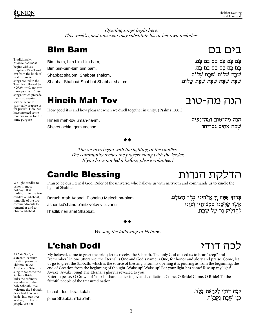Traditionally.

Kabbalat Shabbat begins with six

Psalms (ancient

service, serve to spiritually prepare us for prayer. Here, we

same purpose.

have inserted some modern songs for the

We light candles to

candles on Shabbat,

symbolic of the two

commandments to

remember and to

observe Shabbat.

L'chah Dodi, a

Shlomo Halevi

sixteenth-century

mystical poem by

Sabbath Bride. It

links the ordinary

weekday with the holy Sabbath. We welcome the Sabbath,

described here as a

bride, into our lives

as if we, the Jewish people, are her

Alkabetz of Safed, is sung to welcome the

usher in most

holidays. It is traditional to use two

chapters (95 -99 and

29) from the book of

songs recited in the

Temple) followed by L'chah Dodi, and two more psalms. These songs, which precede the basic evening

Opening songs begin here. This week's guest musician may substitute his or her own melodies.

#### **Bim Bam**

Bim, bam, bim bim-bim bam, Bim bim-bim-bim bim bam. Shabbat shalom, Shabbat shalom, Shabbat Shabbat Shabbat Shabbat shalom.

#### **Hineih Mah Tov**

How good it is and how pleasant when we dwell together in unity. (Psalms 133:1)

Hineih mah-tov umah-na-im, Shevet achim gam yachad.

#### הנה מה־טוב ומה־נעים. שבת אחים גם־יחד.

The services begin with the lighting of the candles. The community recites the prayers along with the leader. If you have not led it before, please volunteer!

### **Candle Blessing**

Praised be our Eternal God, Ruler of the universe, who hallows us with mitzvoth and commands us to kindle the light of Shabbat.

Baruch Atah Adonai, Eloheinu Melech ha-olam, asher kid'shanu b'mitz'votav v'tzivanu l'hadlik neir shel Shabbat.

אֲשֶׁר קִדְּשָׂנוּ בִּמְצְוֹתָיוּ וְצְוָנוּ להדליק נר של שבת.

We sing the following in Hebrew.

### **L'chah Dodi**

My beloved, come to greet the bride; let us receive the Sabbath. The only God caused us to hear "keep" and "remember" in one utterance; the Eternal is One and God's name is One, for honor and glory and praise. Come, let us go to greet the Sabbath, which is the source of blessing. From its opening it is pouring as from the beginning; the end of Creation from the beginning of thought. Wake up! Wake up! For your light has come! Rise up my light! Awake! Awake! Sing! The Eternal's glory is revealed to you!

Enter in peace, O Crown of Your husband; enter in joy and exultation. Come, O Bride! Come, O Bride! To the faithful people of the treasured nation.

L'chah dodi likrat kalah,

p'nei Shabbat n'kab'lah.

לִכַה דוֹדִי לִקְרַאת כַּלַּה. פּּנֵי שַׁבַּת נִקַבְּלַה.

לרה דודי

ברוד אַתַּה יִי אֱלֹהֶינוּ מֶלֶךְ הַעוֹלַם.

הדלקת הנרות

הנה מה-טוב

בים בם

בם בם בם בם בם בם. בם בם בם בם בם בם. שבת שלום. שבת שלום. שַׁבַּת שַׁבַּת שַׁבַּת שַׁבַּת שַׁלוֹם.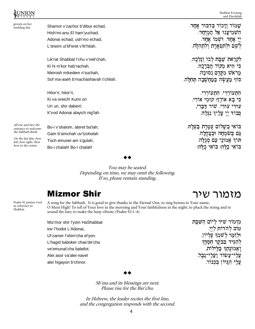

groom on her

Shamor v'zachor b'dibur echad. Hish'mi-anu El ham'yuchad, Adonai echad, ush'mo echad, L'sheim ul'tif'eret v'lit'hilah.

Lik'rat Shabbat l'chu v'neil'chah, Ki hi m'kor hab'rachah, Meirosh mikedem n'suchah, Sof ma-aseh b'machashavah t'chilah.

Hitor'ri, hitor'ri, Ki va oreich! Kumi ori Uri uri, shir dabeiri; K'vod Adonai alayich nig'lah.

All rise and face the entrance to welcome the Sabbath Bride.

On the last line, bow left, bow right, then bow to the center.

Bo-i v'shalom, ateret ba'lah; Gam b'simchah uv'tzoholah Toch emunei am s'gulah, Bo-i chalah! Bo-i chalah!

שמור וזכור בדבור אחד. ו אל המיחד. השמיענו אל יי אחד ושמו אחד. לְשֶׁם וּלְתִפְאֶרֶת וְלְתְהִלָּה.

לקראת שבת לכו ונלכה. כי היא מקור הברכה. <sup>q</sup> io מר אש מסדם ותורה סוֹף מַצֲשֶׂה בִּמַּחֲשָׁבָה תְּחִלַּה.  $\blacksquare$ 

> התעוררי. התעוררי. כי בא אורה קומי אורי. עוּרִי עוּרִי, שִׁיר דַּבֵרִי, בור יי עליך נגלה. m q r s s importante de la construction de la construction de la construction de la construction de la construction de la construction de la construction de la construction de la construction de la construction de la const

. . . . . . . . רואי רשלות שטרת רעל . . . . . . . . . .  $\blacksquare$  . The contract of the contract of the contract of the contract of the contract of the contract of the contract of the contract of the contract of the contract of the contract of the contract of the contract of the גם ב $\dot{\rm w}$ מחה ובצה <sup>d</sup> <sup>e</sup> <sup>f</sup> t die seine gebied in die Stadt von die Stadt ואי כלהו:  $\blacksquare$ ואי כלהו בואי כ' g has been also as a second to the second the second term of the second term of the second term of the second term of the second term of the second term of the second term of the second term of the second term of the secon

You may be seated. Depending on time, we may omit the following. If so, please remain standing.

Psalm 92 praises God in reference to Shabbat.

#### **Mizmor Shir**

A song for the Sabbath. It is good to give thanks to the Eternal One, to sing hymns to Your name, O Most High! To tell of Your love in the morning and Your faithfulness in the night; to pluck the string and to sound the lute; to make the harp vibrate (Psalm 92:1-4).

Miz'mor shir l'yom HaShabbat tov l'hodot L'Adonai, Ul'zamer l'shim'cha el'yon. L'hagid baboker chas'de'cha ve'emunat'cha baleilot. Alei asor va'alei-navel alei higayon b'chinor.

מזמור שיר ליום השבת טוֹב לְהדוֹת לִיי*ִי.* וּלְזַמֵּר לְשָׁמְךָ עֲלְיוֹן. <sup>&</sup>gt; <sup>&</sup>lt; <sup>B</sup> C/ D) <sup>1</sup> <sup>&</sup>lt; <sup>E</sup> 8 ( () <sup>7</sup> . F2 +) / <sup>0</sup> ונתך בלילות. <sup>R</sup> <sup>S</sup> <sup>T</sup> VU XW ועלי־נבל.  $\mathbf{r}$  and  $\mathbf{r}$  and  $\mathbf{r}$  $\blacksquare$   $\blacksquare$   $\blacksquare$   $\blacksquare$   $\blacksquare$   $\blacksquare$ المتعارف المتحدث المتحدث  $\sim$   $\sim$   $\sim$   $\sim$   $\sim$ . . . . . .  $\blacksquare$ ] צֲלֵי הִגַּיוֹן בִּכְנּוֹר. ]

מזמור שיר

#### $f(x) = f(x)$

Sh'ma and its blessings are next. Please rise for the Bar'chu.

In Hebrew, the leader recites the first line, and the congregation responds with the second.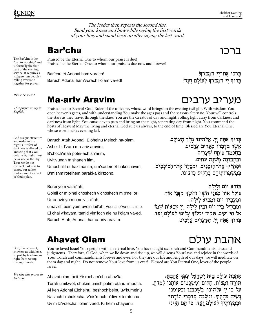The Bar'chu is the "call to worship" and is formally the first part of the evening service. It requires a minyan (ten people), calling everyone together for prayer.

Please be seated.

English.

This prayer we say in

God assigns structure and order to the night. Our fear of darkness is allayed by knowing that God ordains it; night must be as safe as the day. Thus we do not connect darkness to chaos, but rather understand it as part of God's plan.

רררו

בַּרְכוּ אֶת־יִי הַמְבֹרַךְ!

בּרוּךְ יִי הַמְבֹרַךְ לְעוֹלָם וַעֲד!

מעריב ערבים

The leader then repeats the second line. Bend your knees and bow while saying the first words of your line, and stand back up after saying the last word.

Praised be the Eternal One to whom our praise is due! Praised be the Eternal One, to whom our praise is due now and forever!

Bar'chu et Adonai ham'vorach!

Baruch Adonai ham'vorach l'olam va-ed!

#### **Ma-ariv Aravim**

Praised be our Eternal God, Ruler of the universe, whose word brings on the evening twilight. With wisdom You open heaven's gates, and with understanding You make the ages pass and the seasons alternate. Your will controls the stars as they travel through the skies. You are the Creator of day and night, rolling light away from darkness and darkness from light. You cause day to pass and bring on the night, separating day from night. You command the hosts of Heaven! May the living and eternal God rule us always, to the end of time! Blessed are You Eternal One, whose word makes evening fall.

Baruch Atah Adonai, Eloheinu Melech ha-olam, Asher bid'varo ma-ariv aravim, B'choch'mah potei-ach sh'arim, Uvit'vunah m'shaneh itim, Umachalif et-haz'manim, um'sadeir et-hakochavim, B'mishm'roteihem baraki-a kir'tzono.

Borei yom valai'lah, Goleil or mip'nei choshech v'choshech mip'nei or, Uma-avir yom umeivi lai'lah, umav'dil bein yom uvein lail'ah, Adonai tz'va-ot sh'mo. El chai v'kayam, tamid yim'loch aleinu l'olam va-ed. Baruch Atah, Adonai, hama-ariv aravim.

ו מלד העולם. ברוה אתה יי. אלהינו מלה ה אשר בדברו מעריב ערבים. בחכמה פותח שערים. ובתבונה משנה עתים. ומחליף את־הזמנים. ומסדר את־הכוכבים. \* <sup>F</sup> בִּמִשְׁמְרוֹתֵיהֶם בַּרָקִיע כִּרְצוֹנוֹ.

ם ולילה יום וליל  $\blacksquare$ בורא יום ו גוֹלל אוֹר מפוי ה*וֹעוּר וחוֹעוּר מפּוי אוֹר* מביא לילה. ומעביר יום ומביא ל וּבִין לִילַה, יִי צִבָאוֹת שָׁמוֹ. ומבדיל ביז יום וביז ל מלוד עלינו לעולם ועד. אל חי וקים. תמיד ימלוד ע בְּרוּדְּ אַתָּה יִיַּ, הַמַּעֲרִיב עֲרָבִים.

אהבת עולם

You've loved Israel Your people with an eternal love. You have taught us Torah and Commandments, laws and judgments. Therefore, O God, when we lie down and rise up, we will discuss Your laws and rejoice in the words of Your Torah and commandments forever and ever. For they are our life and length of our days; we will meditate on them day and night. Do not remove Your love from us ever! Blessed are You Eternal One, lover of the people Israel.

Ahavat olam beit Yisrael am'cha ahav'ta: Torah umitzvot, chukim umish'patim otanu limad'ta. Al ken Adonai Eloheinu, beshoch'beinu uv'kumeinu Nasiach b'chukecha, v'nis'mach b'divrei toratecha Uv'mitz'votecha l'olam vaed. Ki heim chayeinu

עררת נוולת רות ווירעל נוגד עררת. תּוֹרָה וּמִצְוֹת. חָקִים וּמִשְׁפַּטִים אוֹתָנוּ לִמַּדְתָּ. יול כי של כיום ביוורבים ברכבולי יווות רתכור ויווואת ררררו הירהר  $\blacksquare$ ַ וּבְמִצְוֹתֻיּךְ לְעוֹלַם וַעֲד. כִּי הֵם חַיֵּינוּ

God, like a parent, showers us with love, in part by teaching us right from wrong through Torah.

We sing this prayer in<br>Hebrew

5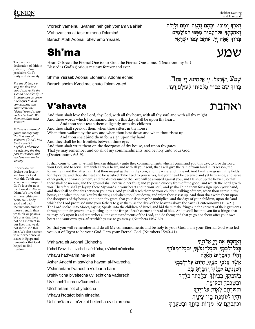V'orech yameinu, uvahem neh'geh yomam valai'lah.

V'ahavat'cha al-tasir mimenu l'olamim!

Baruch Atah Adonai, ohev amo Yisrael.

# Sh'ma òîù

Hear, O Israel: the Eternal One is our God, the Eternal One alone. (Deuteronomy 6:4) Blessed is God's glorious majesty forever and ever.

Sh'ma Yisrael: Adonai Eloheinu, Adonai echad.

Baruch sheim k'vod mal'chuto l'olam va-ed.

בּרוּךְ אַתָּה יִי. אוֹהֵב עַמּוֹ יִשְׂרָאֵל.

וארֶךְ יִמֵינוּ. וּבָהֶם נֻהְגֵּה יוֹמָם וַלַיִלַּה. רערכת על-מסיר ממנג ליולמים

ואהבת

.וּ. יִי אֶחָ \_\_\_\_\_\_\_ . . . . . . . . . . . . . . . . \_\_\_\_\_\_\_  $\overline{\phantom{a}}$ the contract of the contract of the contract of the contract of the contract of the contract of the contract of נבוד מַלִכוּתוֹ לְעוֹלָם וָעֵד.  $\ddotsc$  . The second contract of the second contract of the second contract of the second contract of the second contract of the second contract of the second contract of the second contract of the second contract of the s י ב')<br>שו

### V'ahavta

And thou shalt love the Lord, thy God, with all thy heart, with all thy soul and with all thy might And these words which I command thee on this day, shall be upon thy heart.

And thou shalt teach them diligently unto thy children And thou shalt speak of them when thou sittest in thy house

When thou walkest by the way and when thou liest down and when thou risest up.

And thou shalt bind them for a sign upon thy hand

And they shall be for frontlets between thine eyes And thou shalt write them on the doorposts of thy house, and upon thy gates. That ye may remember and do all of my commandments, and be holy unto your God. (Deuteronomy 6:5-9).

It shall come to pass, if ye shall hearken diligently unto they commandments which I command you this day, to love the Lord your God, and to serve Him with all your heart, and with all your soul, that I will give the rain of your land in its season, the former rain and the latter rain, that thou mayest gather in thy corn, and thy wine, and thine oil. And I will give grass in thy fields for thy cattle, and thou shalt eat and be satisfied. Take heed to yourselves, lest your heart be deceived and yet turn aside, and serve other gods, and worship them; and the displeasure of the Lord will be aroused against you, and He shut up the heaven, so that there shall be no rain, and the ground shall not yield her fruit; and ye perish quickly from off the good land which the Lord giveth you. Therefore shall ye lay up these My words in your heart and in your soul; and ye shall bind them for a sign upon your hand, and they shall be frontlets between your eyes. And ye shall teach them to your children, talking of them, when thou sittest in thy house, and when thou walkest by the way, and when thou liest down, and when thou risest up. And thou shalt write them upon the doorposts of thy house, and upon thy gates; that your days may be multiplied, and the days of your children, upon the land which the Lord promised unto your fathers to give them, as the days of the heavens above the earth (Deuteronomy 11:13-21). The Lord spoke unto Moses, saying: Speak unto the children of Israel, and bid them make fringes in the corners of their garments throughout their generations, putting upon the fringe of each corner a thread of blue. And it shall be unto you for a fringe, that ye may look upon it and remember all the commandments of the Lord, and do them; and that ye go not about after your own heart and your own eyes, after which ye use to go astray. (Numbers 15:37-39)

So that you will remember and do all My commandments and be holy to your God. I am your Eternal God who led you out of Egypt to be your God. I am your Eternal God. (Numbers 15:40-41).

| V'ahavta eit Adonai Elohecha                           | וְאֲהַבְתָּ אֶת יְיָ אֱלֹהֱיִךָּ                    |
|--------------------------------------------------------|-----------------------------------------------------|
| b'chol l'vav'cha uv'chol naf'sh'cha, uv'chol m'odecha. | בְּכָל־לְבָבְךְ וּבְכָל־נַפְשָׁךָ וּבְכַל־מִאֹדֵךָ. |
| V'hayu had'varim ha-eileh                              | וִהָיוֹ הַדְּבָרִים הָאֵלֶּה                        |
| Asher Anochi m'tzav'cha hayom al-l'vavecha.            | אֲשֶׂר אֲנֹכֶי מְצַוּּךָ הַיָוֹם עַל־לְבָבֵךְ.      |
| V'shinantam l'vanecha v'dibarta bam                    | וְשְׁנַּנְתָּם לְּבָנֶיךָ וְדִבַּרְתָּ בָּם.        |
| B'shiv't'cha b'veitecha uv'lecht'cha vaderech          | בְּשִׁבְתְּךָ בְּבֵיהָן וּבְלֶכְתְּךָ בַדֶּרֶךְ     |
| Uv'shoch'b'cha uv'kumecha.                             | ּוּבְשַׁכְבְּךָ וּבְקוּמֶךָ.                        |
| Uk'shartam l'ot al yadecha                             | וּקְשַׁרְתָּם לְאָוֹת עַל־יָדֶךָ                    |
| V'hayu l'totafot bein einecha.                         | וְהָיִוּ לְטְטָפְת בֵין עֵיְנֵיךָ.                  |
| Uch'tav'tam al m'zuzot beitecha uvish'arecha.          | וּכְתַבְתֶם עַל־מְזָזְוֹת בֵּיתֶךְ                  |

The premier declaration of faith in Judaism, Sh'ma proclaims God's unity and eternality.

For the Sh'ma, we sing the first line aloud and recite the second one silently. It is customary to cover one's eyes to help concentrate, and annunciate the "daled" sound at the end of "echad". We then continue with V'ahavta.

If there is a musical guest, we may sing the first part of V'ahavta ("And Thou Shalt Love") in English. Otherwise, we will sing the first part in Hebrew and read the remainder silently.

In V'ahavta, we declare our loyalty and love for God with this Torah text, a concrete example of God's love for us as mentioned in Ahavat Olam. We love God with everything heart, soul, body, good and bad inclinations, and with more strength than we think we possess. We pray that there not be a moment in our lives that we do not show God this love. We also hearken to our experience as slaves in Egypt and remember that God helped us find freedom.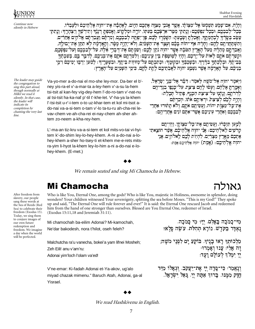Continue now silently in Hebrew

וְהָיָה, אִם־שָׁמָע תִּשְׁמְעוֹ אֶל־מִצְוֹתָי. אֲשֶׁר אָנֹכִי מְצַוֶּה אֶתְכֶם הַיָּוֹם. לְאַהֲבָר אֶת־יהוָה אֶל הֵיכֶם וּלְעָבְדֹו. בְּכָל־לְבָבְבֶם, וּבְכָל־נַפְשָּׁבֶם: וְנֵתַתִּי מִטַּר־אַרְצָּבֶם בְּעִתְּוֹ, יוֹרֱה וּמַלְקוֹשׁ, וְאֵסְפְתָּ דְנֶנֶדְּ וְתִירִשְׁךָ וְיִצְהָרֱךָ: וְנֵתְתִּי עֵשֶׁב בְּשֶׂרְךָ לְבְהֶמְתֶךְ, וְאָכִלְתְ וְשָׂבְעִתְ: הִשְּׁמְרוּ לְכֶם, פֶּן־יִפְהֶה לְבִבְכֶם, וְסַרְתֶּם וַעֲבִדְתֶּם אֱלֹהִים אֲחֵרִים, וְהִשְׁתְּחֲוִיהֶם לְהֶם: וְחָרָה אַף־יהוֹה בָּכֶם וְעָצָר אֶת־הַשָּׁמַ֫יִם וְלֹא־יֶהְיֶה מְטָּר. וְהָאֲדָמָה לֹא תִתֵּן אֶת־יְבוּלֶה. וַאֲבִדְתֶם מְהֵרָה מֵעַל הָאָרֶץ הַטּבָה אֲשֶׁר יהוָה נֹתֵן לְכֶם: וְשַׂמְתֶם אֶת־דְבְרֵי אֵלֶּה, עַל־לְבַבְכֶם וְעַל־נִפְשָׁכֶם. וּקְשַׁרְתֶּם אֹתֶם לְאוֹת עַל־יֶדְכֶם, וְהָיִוּ לְטִוֹטְפְת בֵין עֵינֵיכֶם: וְלִמַּדְתֶּם אֹתֶם אֶת־בְּנֵיכֶם, לְדַבֵּר בָם, בְּשִׁבְתְּדְ בִּבִיתֶ֫ךֹּ, וּבִלֶּכְתַּךְ בַדֶּ֫רֶךָ, וּבִשְׁכִבְּךָ וּבִקוּמֱךָ: וּכְתַבְתֶּם עַל־מְזוּזְוֹת בֵיתֵךְ, וּבִשְׁעָרֵיךָ: לְמַעַן יִרְבִּוּ יִמֵיכֶם וְימֵי בניכֶם, עַל הָאֲרָמָה אֲשֶׁר וִשְׁבֵע יהוָה לַאֲבְתֵיכֶם לָתֵת לְהֶם, כִּימֵי הַשָּׁמָיִם עַל־הָאָרֵץ:

The leader may guide the congregation to sing this part aloud, though normally at Hillel we read it silently. In that case, the leader will indicate its completion by chanting the very last line.

After freedom from

slavery, our people

sang these words at

the Sea of Reeds (Red Sea) to celebrate their

freedom (Exodus 15)

Today, we sing them to conjure images of

freedom. We imagine a day when the world will be perfected.

Yisrael.

our own future redemption and

Va-yo-mer a-do-nai el mo-she ley-mor. Da-ber el b'ney yis-ra-el v'-a-mar-ta a-ley-hem v'-a-su la-hem tsi-tsit al kan-fey vig-dey-hem l'-do-ro-tam v'-nat-nu al tsi-tsit ha-ka-naf p'-til t'-khe-let. V'-ha-ya la-khem l'-tsi-tsit u-r'-i-tem o-to uz-khar-tem et kol mi-tsot ado-nai va-a-si-tem o-tam v'-lo ta-tu-ru ah-cha-rei levav-chem ve-ah-cha-rei ei-nay-chem ah-sher ahtem zo-neem a-kha-rey-hem.

L'-ma-an tiz-kru va-a-si-tem et kol mits-vo-tai vi-hyitem k'-do-shim ley-lo-hey-khem. A-ni a-do-nai a-lohey-khem a-sher ho-tsey-ti et-khem me-e-rets mitsra-yim li-hyot la-khem ley-lo-him a-ni a-do-nai e-lohey-khem. (E-met.)

וַיֹּאמר יהוה אל־משה לֹאמר: דַבר אל־בִּנִי יִשְׂרָאל. ואמרת אלהם. ועשו להם ציצת. על־כּוּפֵי בוּדֵיהֵם לדרתם. ונתנו על־ציצת הכנף. פתיל תכלת: והיה לכם לציצת וראיתם אתו. וזכרתם את־כָּל־מַצְוֹת יהוֹה, וַעֲשִׂיתֵם אֹתָם, וְלֹא תָתוּרוּ אַחֲרֵי לבבכם ואחרי עיניכם אשר־אתם זנים אחריהם:

למען תּוְכּרוּ, וַעֲשִׂיתֵם אֶת־כָּל־מִצְוֹתָי, וֶהִיִיתֵם קרֹשִים לַאלְהֵיכֶם: אֲנִי יהוָה אֲלְהֵיכֶם, אֲשֶּׁר הוֹצֵאתִי אתכם מארץ מצרים. להיות לכם לאלהים. אני יהוה אלהיכם: (אמת) יהוה אלהיכם אמת:

We remain seated and sing Mi Chamocha in Hebrew.

### Mi Chamocha

Who is like You, Eternal One, among the gods? Who is like You, majestic in Holiness, awesome in splendor, doing wonders? Your children witnessed Your sovereignty, splitting the sea before Moses. "This is my God!" They spoke up and said, "The Eternal One will rule forever and ever!" It is said: the Eternal One rescued Jacob and redeemed him from the hand of one stronger than ourselves. Blessed are You Eternal One, redeemer of Israel. (Exodus 15:11,18 and Jeremiah 31:11).

| Mi chamochah ba-eilim Adonai? Mi-kamochah,          | מי־כמכה באלם, יין מי כמכה.                                 |
|-----------------------------------------------------|------------------------------------------------------------|
| Ne'dar bakodesh, nora t'hilot, oseh feleh?          | נְאִדָּר בַּקְדָשׁ. נוֹרָא תְהִלֹּת. עֹשׂה פַּלֵאיִ        |
| Malchutcha ra'u vanecha, bokei'a yam lifnei Mosheh; | מַלְכוּתִךְ רָאוּ בָנֵיךְ, בּוֹקֶעַ יָם לְפְנֵי מַשֶׁה;    |
| Zeh Eili! anu v'am'ru:                              | זָה אֵלִי! עֲנוּ וְאֲמְרוּ:                                |
| Adonai yim'loch l'olam va'ed!                       | יי ימלך לעולם ועד!                                         |
| V'ne-emar: Ki-fadah Adonai et-Ya-akov, ug'alo       | וְנָאֱמַר≔ פִּי־פַּדָה יְיָ אֶת־יַעֲקִב, וְּגְאַלוֹ מִיַּד |
| miyad chazak mimenu." Baruch Atah, Adonai, ga-al    | חָזַק מִמֶּנּוּ. בָּרוּוְ אַתָּה יְיַ גַּאַל יִשְׂרָאֵל.   |

We read Hashkivenu in English.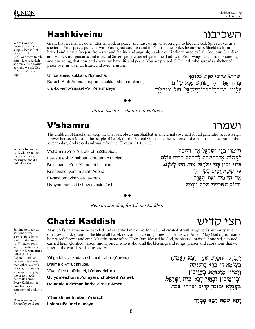השכיבנו

ושמרו

### **Hashkiveinu**

We ask God to protect us while we sleep. Sleep is "1/60 of death" (Brachot 57b), our most fragile state. Like a sukkah shelters a field worker at night, we ask God to "shelter" us at night.

Grant that we may lie down Eternal God, in peace, and raise us up, O Sovereign, to life renewed. Spread over us a shelter of Your peace; guide us with Your good counsel; and for Your name's sake, be our help. Shield us from hatred and plague; keep us from war and famine and anguish; subdue our inclination to evil. O God, our Guardian and Helper, our gracious and merciful Sovereign, give us refuge in the shadow of Your wings. O guard our coming

Uf'ros aleinu sukkat sh'Iomecha.

Baruch Atah Adonai, haporeis sukkat shalom aleinu,

v'al-kol-amo-Yisrael v'al Yerushalayim.

peace over us, over all Israel, and over Jerusalem.

בְּרוּךְ אַתָּה, יְיַ, הַפּוֹרֵשׁ סְכַתּ שָׁלוֹם עלינו, ועל־כל־עמוֹ־ישראל, ועל ירושלים.

Please rise for V'shamru in Hebrew.

### **V'shamru**

The children of Israel shall keep the Shabbat, observing Shabbat as an eternal covenant for all generations. It is a sign forever between Me and the people of Israel, for the Eternal One made the heavens and earth in six days, but on the seventh day, God rested and was refreshed. (Exodus 31:16 -17)

V'sham'ru v'nei-Yisrael et haShabbat.

La-asot et-haShabbat l'dorotam b'rit olam.

Beini uvein b'nei Yisrael ot hi l'olam,

Ki sheishet yamim asah Adonai

Et-hashamayim v'et-ha-aretz,

Uvayom hash'vi-i shavat vayinafash.

Remain standing for Chatzi Kaddish.

### **Chatzi Kaddish**

May God's great name be extolled and sanctified in the world that God created at will. May God's authority rule in our lives and days and in the life of all Israel, now and in coming times, and let us say: Amen. May God's great name be praised forever and ever. May the name of the Holy One, Blessed be God, be blessed, praised, honored, elevated, carried high, glorified, raised, and rejoiced, who is above all the blessings and songs, praises and adorations that we utter in the world. And let us say: Amen.

Yit'gadal v'yit'kadash sh'meih raba: (Amen.) B'alma di-v'ra chi'rutei, V'yam'lich mal'chutei, b'chayeichon Uv'yomeichon uv'chayei d'chol-beit Yisrael, Ba-agala uviz'man kariv, v'im'ru: Amen.

Y'hei sh'meih raba m'varach l'alam ul'al'mei al'maya.

יתגַדַּל וִיתְקַדַּשׁ שְׁמֶהּ רַבָּא: (אַמֶן.) בִּעֲלִמַא דִי־בְרָא כְרְעוּתָהּ, וימליד מלכותה. בחייכון וּבִיוֹמֵיכוֹן וּבְחַיֵּי דְכָל־בֵּית יִשְׂרָאֵל. בַּעֲגַלַא וּבְזִמַן קַרִיב וְאִמְרוּ: אַמֵן.

יהא שמה רבא מברד

We seek to emulate God, who rested on the seventh day, by making Shabbat a holy day of rest.

Serving to break up

service, the Chatzi

Kaddish declares

God's sovereignty and authority over

(Chatzi) Kaddish because it is shorter

than other Kaddish prayers, it is usually

led responsively by the praver leader.

hence its name. Every Kaddish is a

doxology, or a statement of praise to

Bolded words are to

be read by both the

God.

the world. Sometimes called the Half

sections of the

חצי קדיש

and our going, that now and always we have life and peace. You are praised, O Eternal, who spreads a shelter of

וּפְרוֹשׂ עַלֵינוּ סֻכּת שְׁלוֹמֶךָ.

וְשָׁמְרוּ בְנֵי־יִשְׂרָאֵל אֶת־הַשַּׁבַּת. לעשות את־השבת לדרתם ברית עולם. בֵּינִי וּבֵין בְּנֵי יִשְׂרָאֵל אוֹת הִיא לְעֹלֵם, כּי־שָׁשֶׁת יַמִים עַשָּׂה יִי אַת־הַשַּׁמַיִם וְאֵת־הַאַרִץ. וּבִיּוֹם הַשָּׁבִיעִי שַׁבַת וַיִּנּפַשׁ.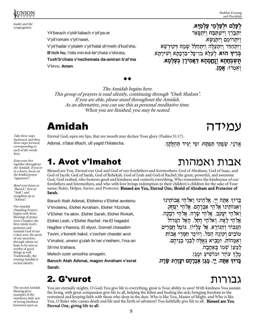



leader and the congregation.

> Yit'barach v'yish'tabach v'yit'pa-ar V'yit'romam v'yit'nasei, V'yit'hadar v'yitaleh v'yit'halal sh'meih d'kud'sha, **B'rich hu**, l'eila min-kol-bir'chata v'shirata, **Tush'b'chata v'nechemata da-amiran b'al'ma**  V'imru: **Amen**.

לִעָּלַם וּלִעָּלְמֵי עָלְמַיָּא. | { { { } } } } } } { { } } } { } } { } } { } { } } { } { } { } { } { } { } { } { } { } { } { } { } { } { } { } { } { } { } { } { } { } { } { } { } { } { } { } { } { } { } { } { } { } { } { } { } { } { } { } { } { } { } { <u>. . .</u> . . . . . - z{ { |{ \_\_\_\_ <sup>z</sup>  $\kappa$  ויתרומם ויתנשא ויתהדר ויתעלה ויתהלל שמה דקודשא <sup>x</sup> <sup>y</sup> . . . . . . . . , , , , <sup>|</sup>  $\sim$   $\sim$   $\sim$   $\sim$ . . . . . . . . . . . . . . . . . . <sup>y</sup> . . . .  $\sim$   $\sim$   $\sim$ כריה הוא לטל הַשְׁבְּחָתָא וְנֵחֱמָתָא דַּאֲמִירָן בִּעֲלְמָא. **ָ יְא**מְרוּ: **אָמֵן.** 

The Amidah begins here. This group of prayers is read silently, continuing through "Oseh Shalom". If you are able, please stand throughout the Amidah. As an alternative, you can use this as personal meditative time. When you are finished, you may be seated.

## Amidah äãéîò

Take three steps Eternal God, open my lips, that my mouth may declare Your glory (Psalms 51:17).

Adonai, s'fatai tiftach, ufi yagid t'hilatecha. .

אדני, שפתי תפתח, ופי יגיד תהלת

אבות ואמהות

### 1. Avot v'Imahot

Blessed are You, Eternal our God and God of our forefathers and foremothers: God of Abraham, God of Isaac, and God of Jacob; God of Sarah, God of Rebekah, God of Leah and God of Rachel; the great, powerful, and awesome God, God exalted, who bestows good and kindness and controls everything, Who remembers the kindnesses of our forefathers and foremothers, and who with love brings redemption to their children's children for the sake of Your name; Ruler, Helper, Savior, and Protector. Blessed are You, Eternal One, Shield of Abraham and Protector of Sarah.

Baruch Atah Adonai, Eloheinu v'Elohei avoteinu V'Imoteinu, Elohei Avraham, Elohei Yitzchak, V'Elohei Ya-akov. Elohei Sarah, Elohei Rivkah, Elohei Leah, v'Elohei Rachel. Ha-El hagadol Hagibor v'hanora, El elyon. Gomeil chasadim Tovim, v'koneih hakol, v'zocheir chasdei avot V'imahot, umeivi g'ulah liv'nei v'neihem, l'ma-an Sh'mo b'ahava.

Melech ozeir umoshia umagein.

**Baruch Atah Adonai, magen Avraham v'ezrat Sarah.** 

### 2. G'vurot

You are eternally mighty, O God; You give life to everything, great is Your ability to save! With kindness You sustain the living, with great compassion give life to all, helping the fallen and healing the sick; bringing freedom to the restrained and keeping faith with those who sleep in the dust. Who is like You, Master of Might, and Who is like You, O Ruler who causes death and life and the birth of salvation? You faithfully give life to all. Blessed are You Eternal One, giving life to all.

בְּרוּךְ אַתָּה יִיַּ. אֱלֹהֵינוּ וֵאלֹהִי אֲבוֹתִינוּ ואמּוֹתֵינוּ אֱלֹהֵי אֲבְרָהָם. אֱלֹהֵי יִצְחָק. וֵאלֹהֵי יַעֲקִב. אֱלֹהֵי שָׂרָה. אֱלֹהֵי רִ אֱלֹהֶי לֵאָה. וֵאלֹהֵי רָחֱל. הָאֵל הַגֲדוֹל הגבור והנורא. אל עליון. גומל חסדים טובים וקונה הכל. וזוכר חסדי אבות . . . . . . .  $\mathbf{S} \cdot \mathbf{S} \cdot \mathbf{S}$  :  $\mathbf{S} \cdot \mathbf{S}$  :  $\mathbf{S} \cdot \mathbf{S}$  :  $\mathbf{S} \cdot \mathbf{S}$  ,  $\mathbf{S} \cdot \mathbf{S}$  ,  $\mathbf{S} \cdot \mathbf{S}$  ,  $\mathbf{S} \cdot \mathbf{S}$  ,  $\mathbf{S} \cdot \mathbf{S}$  ,  $\mathbf{S} \cdot \mathbf{S}$  ,  $\mathbf{S} \cdot \mathbf{S}$  ,  $\mathbf{S} \cdot \mathbf{S}$  ,  $\mathbf$ למען שמו באהבה. כֵּלֵךְ עוֹזֵר וּמוֹשִיעַ וּמַגֵן. and the contract of the contract of the contract of the contract of the contract of the contract of the contract of the contract of the contract of the contract of the contract of the contract of the contract of the contra בִּרוּדְ אַתָּה*. יַי. מָגֵן אַבְרָהָם* ועֵזִרַת שָׂרָה.

## גבורות

backward, and then three steps forward, corresponding to each of the words here.

Keep your feet together throughout the Amidah. If you're in a hurry, focus on the bolded prayer "signatures".

Bend your knees at "Baruch", bow at "Atah", and straighten up at "Adonai".

The Amidah (Standing Prayer), begins with three blessings of praise. Avot v'Imahot, the first, extols God's greatness and reminds God of our z'chut avot, the merit of our ancestors, through whom we hope to be seen as worthy of good things as well. Traditionally, the evening Amidah is recited silently.

The second Amidah blessing gives examples of the wondrous daily acts of loving-kindness bestowed upon us.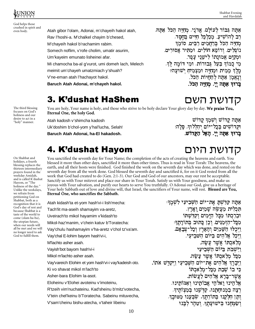

God helps those crushed in spirit and

- Atah gibor l'olam, Adonai, m'chayeih hakol atah, Rav l'hoshi-a. M'chalkel chayim b'chesed, M'chayeih hakol b'rachamim rabim. Somech noflim, v'rofe cholim, umatir asurim, Um'kayeim emunato lisheinei afar. Mi chamocha ba-al g'vurot, umi domeh lach, Melech meimit um'chayeh umatzmiach y'shuah? V'ne-eman atah l'hachayot hakol. **Baruch Atah Adonai, m'chayeh hakol.**
- אתה גבור לעולם. אדני, מחיה הכל אתה. רַב לְהוֹשִׁיעַ. מִכַלְבֵּל חַיִּים בְּחֶסֶד, מְחַיֶּה הַכֹּל בְּרַחֲמִים רַבִּים. סוֹמֵךְ וותליה ורותא הוליה ומהיר אחוריה וּמִקַיֵּם אֱמוּנַתוֹ לִישֶׁנֵי עֲפָר. מי כמוד בעל גבורות, ומי דומה לד. מלד ממיח ומחיה ומצמיח ישויגה? וְנָאֱמַן אַתָּה לְהַחֲיוֹת הַכּל. בַּרוּדְ אַתַּה יִיַ. מִחַיָּּה הַכּל.

קדושת השם

. יי. האל הקדוש

אתה קדוש ושמר קדוש N IS ON IS DE LA DE LA CERTA DE LA PORTUGAL DE LA PORTUGAL DE LA PORTUGAL DE LA PORTUGAL DE LA PORTUGAL DE LA

 $\ddot{\phantom{a}}$  be a bounded by  $\ddot{\phantom{a}}$  be a bounded by  $\ddot{\phantom{a}}$ 

קדושת היום

<sup>D</sup> <sup>O</sup> <sup>F</sup> ?E Nn <sup>S</sup> oG <sup>S</sup> pn qE IK <sup>T</sup> @ <sup>S</sup> <sup>U</sup> <sup>r</sup> <sup>O</sup> <sup>L</sup> JB ?E sK tn <sup>I</sup> JB LK

. . . . . . [ e and ghall and ghall and ghall and ghall and ghall and ghall and ghall and ghall and ghall and ghall and ghall and

in the contract of the contract of the contract of the contract of the contract of the contract of the contract of the contract of the contract of the contract of the contract of the contract of the contract of the contrac

## 3. K'dushat HaShem

The third blessing focuses on God's holiness and our desire to act in a<br>"holy" manner.

On Shabbat and holidays, a fourth blessing replaces the thirteen intermediary prayers found in the weekday Amidah, and is called K'dushat Hayom, or "The holiness of the day." Unlike the weekdays, we refrain from petitioning God on Shabbat, both as a recognition that it is God's day of rest and because Shabbat is a taste of the world to come (olam ha-ba), the utopian future, when our needs will all be met and we will no longer need to ask God to fulfill them.

You are holy, Your name is holy, and those who strive to be holy declare Your glory day by day. We praise You, Eternal One, the holy God.

Atah kadosh v'shimcha kadosh

Uk'doshim b'chol-yom y'hal'lucha, Selah!

**Baruch Atah Adonai, ha-El hakadosh.** 

## 4. K'dushat Hayom

You sanctified the seventh day for Your Name; the completion of the acts of creating the heavens and earth. You blessed it more than other days, sanctified it more than other times. Thus is read in Your Torah: The heavens, the earth, and all their hosts were finished. God finished the work on the seventh day which was done, and rested on the seventh day from all the work done. God blessed the seventh day and sanctified it, for on it God rested from all the work that God had created to do (Gen. 2:1-3). Our God and God of our ancestors, may our rest be acceptable. Sanctify us with Your mitzvot and place our share in Your Torah. Satisfy us with Your goodness, and make us joyous with Your salvation, and purify our hearts to serve You truthfully. O Adonai our God, give us a heritage of Your holy Sabbath out of love and divine will, that Israel, the sanctifiers of Your name, will rest. Blessed are You, Eternal One, who sanctifies the Sabbath.

Atah kidash'ta et-yom hash'vi-i lish'mecha: Tach'lit ma-aseih shamayim va-aretz, Uveirach'to mikol hayamim v'kidash'to Mikol-haz'manim, v'chein katuv b'Toratecha: Vay'chulu hashamayim v'ha-aretz v'chol tz'va'am. Vay'chal E-lohim bayom hash'vi-i, M'lachto asher asah. Vayish'bot bayom hash'vi-i Mikol m'lachto asher asah. Vay'vareich Elohim et yom hash'vi-i vay'kadeish oto. Ki vo shavat mikol m'lach'to Asher-bara Elohim la-asot. Eloheinu v'Elohei avoteinu v'imoteinu, R'tzeih vim'nuchateinu. Kad'sheinu b'mitz'votecha, V'tein chel'keinu b'Toratecha. Sabeinu mituvecha,

V'sam'cheinu bishu-atecha, v'taheir libeinu

v LB HB T S GFK ?B I xw own FK r S GFK ?B I xw own T S GFK ?B I xw own T S GFK ?B I xw own T S GFK r S GFK 7 G . We also find the skill of the skill of the skill of the skill of the skill of the skill of the skill of the skill of the skill of the skill of the skill of the skill of the skill of the skill of the skill of the skill of <sup>D</sup> <sup>O</sup> <sup>r</sup> vB @ <sup>r</sup> WE <sup>p</sup> <sup>R</sup> <sup>r</sup> {B <sup>|</sup> Vw <sup>H</sup> <sup>E</sup> <sup>Q</sup> <sup>T</sup> <sup>S</sup> } <sup>G</sup> FK <sup>~</sup> <sup>E</sup> IK <sup>U</sup> <sup>N</sup> {B FG <u>ּל־צִבאַם.</u> . . . . . . - - - - -. . . . . . . . . . . . . . ויכלו השמים וה ולהים ביום השביעי. ויכל אלהי אֲשֶׁר צַשָּׂה**.**  . . . . . . . . . <u>.</u> וישבת ביום השביעי אֲשֶר צַשָ<del>ׂה</del>. ¡ . . . . . . . . . . . . . . . . . . . ¢ ת־יוֹם הַשָּׁבִיעִי וַיִּקַדָּשׁ אתוֹ**.** . . . . . . . . \_ . . . -ויברד אלהי . . . . . . . . . . כי בוֹ שבת מכ ול הים לעֲשׂות. שר־בּרא אלהי \_\_\_\_ the contract of the contract of the contract of the contract of the contract of the contract of the contract of אלהינו ואלהי אבותינו ואמותינו. במנוחתנו. קדשנו במצותיר. רצה במנוּח וִתְן חַלִּקְנוּ בִּתוֹרַתֵּךְ. שַׂבִּעֲנוּ מִטּוּבֵךְ, בישועתר, וטהר לבנו ושמחנו בישוע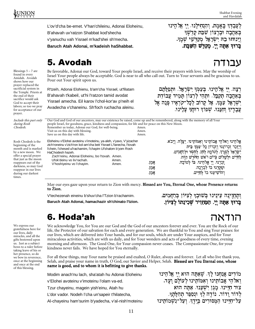Blessings  $5 - 7$  are found in every Amidah. Avodah shows how our prayer replaced the sacrificial system in the Temple. Priests at the end of their sacrifice would ask God to accept their labors; so too we pray for acceptance of our

prayer.

וינוחו בה ישר

 

 $\blacksquare$  . The contract of the contract of the contract of the contract of the contract of the contract of the contract of the contract of the contract of the contract of the contract of the contract of the contract of the

לִעֲבִדּךְ בֵאֵמֶת. וִהַנְחִילֵנוּ, יִי

נאהבה וברצוו שבת ק:

ו אתה יי. מקדש השב

L'ov'd'cha be-emet. V'han'chileinu, Adonai Eloheinu,

B'ahavah uv'ratzon Shabbat kod'shecha

v'yanuchu vah Yisrael m'kad'shei sh'mecha.

**Baruch Atah Adonai, m'kadeish haShabbat.**

### 5. Avodah

עבודה Be favorable, Adonai our God, toward Your people Israel, and receive their prayers with love. May the worship of Israel Your people always be acceptable. God is near to all who call out. Turn to Your servants and be gracious to us. Pour out Your spirit upon us.

R'tzeih, Adonai Elohienu, b'am'cha Yisrael, ut'filatam B'ahavah t'kabeil, ut'hi l'ratzon tamid avodat Yisrael amecha. Eil karov l'chol-kor'av p'neih el Avadecha v'chaneinu. Sh'foch ruchacha aleinu.

. . . . . זר ישראל. ותפל נעמד ישר**:** רצה, יי אלהינו, בע ריציה יי באהבה תקבל. ותהי לרצון תמיד עבודת §£ . . . . . . ¥ 'אל עמר. אל קרוב לכ £ ישר רוּחָד עַלֵינוּ. צְבָדֵיךְ וִחַנֵּנוּ. שִׁפוֹךְ רוּחֲךְ עַ

§ £

שבת קדשר

.שכַּת **ש** 

.ה ישראל מ<u>קדשי שמ</u>ך

| Include this part only<br><i>during Rosh</i><br>Chodesh.                                                                                                                                                                                        | Our God and God of our ancestors, may our existence be raised, come up and be remembered, along with the memory of all Your<br>people Israel, for goodness, grace, kindness and compassion, for life and for peace on this New Moon.<br>Remember us today, Adonai our God, for well-being.<br>Visit us on this day with blessing.<br>Save us on this day with life. |                | Amen.<br>Amen.<br>Amen. |                                                                                                                                                                                                                                                                                                                                    |
|-------------------------------------------------------------------------------------------------------------------------------------------------------------------------------------------------------------------------------------------------|---------------------------------------------------------------------------------------------------------------------------------------------------------------------------------------------------------------------------------------------------------------------------------------------------------------------------------------------------------------------|----------------|-------------------------|------------------------------------------------------------------------------------------------------------------------------------------------------------------------------------------------------------------------------------------------------------------------------------------------------------------------------------|
| Rosh Chodesh is the<br>beginning of the<br>month and is marked<br>by a new moon. We<br>offer a special prayer<br>that just as the moon<br>reappears out of the<br>darkness, so may God<br>reappear in our lives<br>during our darkest<br>times. | Eloheinu v'Elohei avoteinu v'imoteinu, ya-aleh, v'yavo, V'yizacher<br>zich'roneinu v'zich'ron kol-am'cha beit Yisrael L'fanecha, l'tovah<br>l'chein, l'chesed ul'rachamim, l'chayim Ul'shalom b'yom Rosh<br>HaChodesh hazeh.<br>Zoch'reinu, Adonai Eloheinu, bo l'tovah. Amen.<br>Ufok'deinu vo liv'rachah.<br>V'hoshiyeinu vo l'chayim.                            | Amen.<br>Amen. | אמן.<br>אמן.<br>אמן.    | אֱלֹהֵינוּ וֵאלֹהֵי אֲבוֹתֵינוּ וְאִמּוֹתֵינוּ. יַעֲלֶה. וְיָבֹא.<br>וִיזַכֵר זִכְרוֹנֵנוּ וְזִכְרוֹן כָּל־עַמֶּךְ בֵּית<br>ישְׁרָאֵל לְפָנִיךְ לְטוֹבָה לְחָן לְחָסֶד וּלְרַחָמִים.<br>לחיים ולשלום כיום ראש החדש הזה.<br>זָכְרֵנוּ, יִי אֱלֹהֶינוּ, בּוֹ לְטוֹבַה.<br>וּפַקְדָנוּ בוֹ לִבְרַכַה.<br>והוֹשִׁיעָנוּ בוֹ לְחַיִּים. |

May our eyes gaze upon your return to Zion with mercy. Blessed are You, Eternal One, whose Presence returns to Zion.

V'techezenah eineinu b'shuv'cha l'Tzion b'rachamim.

**Baruch Atah Adonai, hamachazir sh'chinato l'tzion.** 

<u>ותחזינה עינינו בשובר לציון ברח</u>מים. בָּרוּךְ אַתָּה יִיַ. הַמַּחַזִיר שִׁכִי<u>נ</u>תו לִצְיּוֹן.

### 6. Hoda'ah

natin We acknowledge You, for You are our God and the God of our ancestors forever and ever. You are the Rock of our life, the Protector of our salvation for each and every generation. We are thankful to You and sing Your praises: for our lives, which are delivered into Your hands, and for our souls, which are under Your auspices, and for Your miraculous activities, which are with us daily, and for Your wonders and acts of goodness of every time, evening morning and afternoon. The Good One, for Your compassion never ceases. The Compassionate One, for your kindness never fails. We have hoped for You eternally.

For all these things, may Your name be praised and exalted, O Ruler, always and forever. Let all who live thank you, Selah, and praise your name in truth, O God, our Savior and Helper, Selah. Blessed are You Eternal one, whose name is good, and to whom it is befitting to give thanks.

| Modim anach'nu lach, sha'atah hu Adonai Eloheinu   | זינו |
|----------------------------------------------------|------|
| v'Elohei avoteinu v'imoteinu l'olam va-ed.         | J.   |
| Tzur chayeinu, magein yish'einu, Atah hu           |      |
| L'dor vador. Nodeh l'cha un'sapeir t'hilatecha,    |      |
| Al-chayeinu ham'surim b'yadecha, v'al-nish'moteinu | תינו |

 ראלהי אבותינו ואמותינו לעו<u>לם וע</u>ד צוּר חיינוּ. מגן ישׁענוּ. אתה הוא לדור ודור. נודה לך ונספר תהלתך. ¢ ® ¡ ª ¯ ¨ £ § ®

We express our gratefulness here for our lives, daily miracles, and all the gifts bestowed upon us. Just as a subject bows to a ruler before taking leave of his or her presence, so do we bow in reverence, once at the beginning and once at the end of this blessing.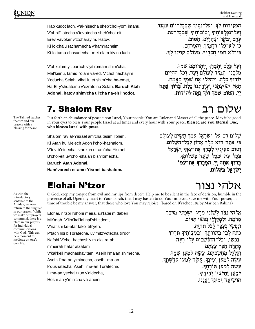Hap'kudot lach, v'al-nisecha sheb'chol-yom imanu, V'al-nif'l'otecha v'tovotecha sheb'chol-eit, Erev vavoker v'tzoharayim. Hatov: Ki lo-chalu rachamecha v'ham'racheim: Ki-lo tamu chasadecha, mei-olam kivinu lach.

V'al kulam yit'barach v'yit'romam shim'cha, Mal'keinu, tamid l'olam va-ed. V'chol hachayim Yoducha Selah, vihal'lu et shim'cha be-emet, Ha-El y'shuateinu v'ezrateinu Selah. **Baruch Atah Adonai, hatov shim'cha ul'cha na-eh l'hodot.** 

מַלְכֵּנוּ. תַּמִיד לְעוֹלָם וַעֲד**.** וִכֹל הַחַיִּים ¢ ¯ <sup>ª</sup> ¢ ¡ <sup>ª</sup> **ִרְעֲזְרָתְנוּ סֵלָה. בָּרוּדְ אַתָּה**  $\cdots$   $\cdots$ . . . . . . . . . . . . . . . . . . . " # \$ . ייַ. הַטּוֹב שָׁמִךְ וּלְךְ נָאֵה לְהוֹדוֹת.

 $\mathbf{a} = \mathbf{a} \cdot \mathbf{b}$  and  $\mathbf{a} = \mathbf{b} \cdot \mathbf{c}$  and  $\mathbf{a} = \mathbf{b} \cdot \mathbf{c}$  . Then  $\mathbf{b} = \mathbf{b} \cdot \mathbf{c}$ 

יֵגְרֶב וַבֹקֶר וִצָּהָרָיִם. הַטּוֹב  $...$  אי אטי-אלי אפארי יראפאר

 $\mathbf{r} = \mathbf{r} \cdot \mathbf{r}$  . The set of  $\mathbf{r} = \mathbf{r} \cdot \mathbf{r}$  ,  $\mathbf{r} = \mathbf{r} \cdot \mathbf{r}$  ,  $\mathbf{r} = \mathbf{r} \cdot \mathbf{r}$  ,  $\mathbf{r} = \mathbf{r} \cdot \mathbf{r}$ ¢ ® ¯ <sup>ª</sup> ¢ ¤ ¡ <sup>ª</sup> ¢ ®

בִּי־לֹא תַמּוּ חֵסָדֵיךָ, מֵעוֹלַם קִוִּינוּ לַדְּ.

The Talmud teaches that we end our prayers with a blessing for peace.

As with the introductory sentence to the Amidah, we now return to the singular in our prayer. While we make our prayers communal, there is a place in our prayers for individual communications with God. This can be a moment to meditate on one's own life.

Put forth an abundance of peace upon Israel, Your people; You are Ruler and Master of all the peace. May it be good in your eyes to bless Your people Israel at all times and every hour with Your peace. Blessed are You Eternal One, who blesses Israel with peace.

Shalom rav al-Yisrael am'cha tasim l'olam,

Ki Atah hu Melech Adon l'chol-hashalom.

V'tov b'einecha l'vareich et-am'cha Yisrael

B'chol-eit uv'chol-sha'ah bish'lomecha.

**Baruch Atah Adonai,** 

**Ham'varech et-amo Yisrael bashalom.** 

### Elohai N'tzor

O God, keep my tongue from evil and my lips from deceit. Help me to be silent in the face of derision, humble in the presence of all. Open my heart to Your Torah, that I may hasten to do Your mitzvot. Save me with Your power; in time of trouble be my answer, that those who love You may rejoice. (based on B'rachot 18a by Mar ben Rabina)

Elohai, n'tzor l'shoni meira, us'fatai midabeir Mir'mah. V'lim'kal'lai naf'shi tidom, V'naf'shi ke-afar lakol tih'yeh. P'tach libi b'Toratecha, uv'mitz'votecha tir'dof Nafshi.V'chol-hachosh'vim alai ra-ah, m'heirah hafar atzatam V'kal'keil machashav'tam. Aseih l'ma'an sh'mecha, Aseih l'ma-an y'minecha, aseih l'ma-an k'dushatecha, Aseh l'ma-an Toratecha. L'ma-an yechal'tzun y'didecha,

Hoshi-ah y'min'cha va-aneini.

and the contract of the contract of the contract of the contract of the contract of the contract of the contract of न राजा ज ¡ ¢ .<br>**וַנַפִּשִׁי כֵּעֲפָר לַכּל תְהִיה.** ¥ ¦ £ § ¦ £ ¨ © .<br>נפשי: וכל־החושבים עלי רעה: ¬

וַקַלְקֶל מַחֲשַׁבִתָּם. עֲשָׂה לִמַעַן שָׁמֶךָ,  $\mathbf{r} = \mathbf{r} \cdot \mathbf{r} = \mathbf{r} \cdot \mathbf{r} = \mathbf{r} \cdot \mathbf{r} = \mathbf{r} \cdot \mathbf{r} = \mathbf{r} \cdot \mathbf{r} = \mathbf{r} \cdot \mathbf{r} = \mathbf{r} \cdot \mathbf{r} = \mathbf{r} \cdot \mathbf{r} = \mathbf{r} \cdot \mathbf{r} = \mathbf{r} \cdot \mathbf{r} = \mathbf{r} \cdot \mathbf{r} = \mathbf{r} \cdot \mathbf{r} = \mathbf{r} \cdot \mathbf{r} = \mathbf{r} \cdot \mathbf{r} = \mathbf$ **.**¦ £ ± ¬ ¦ °£ ° הוֹשִׁיעַה יִמְיוַדְ רַעֲנְנִי.

# שלום רב

ה לעולה : על־ישׂראל עמד תּשׂ**י**ם שלום רב על מזלר לכל־הַשָּׁלוֹם. . . . לר אדוו לכ פי אתה הוא מלד א יניד לברד את־עמד ישראל רטוֹם בעיניד לב וּבְכַל־שַׁעַה בִּשְׁלוֹמֶךָ.  $\mathbf{A}$  and  $\mathbf{A}$  and  $\mathbf{A}$  and  $\mathbf{A}$ בל־עת וּבכ @TD^a <sup>b</sup> dc e <sup>f</sup> hg <sup>i</sup> kj ml <sup>n</sup> <sup>b</sup> oc <sup>p</sup> qlq no rl hc <sup>i</sup> sk tl

ישראל בשלום.

אלהי נצור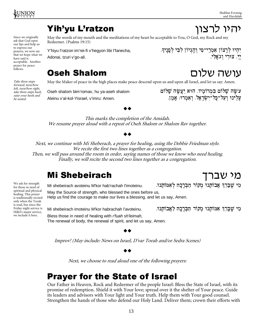Since we originally ask that God open our lips and help us to express our prayers, we now say that we hope what we have said is acceptable. Another prayer for peace

forward, turn/bow left, turn/bow right, take three steps back, raise your heels and be seated.

May the words of my mouth and the meditations of my heart be acceptable to You, O God, my Rock and my Redeemer. (Psalms 19:15)

Y'hiyu l'ratzon im'rei-fi v'hegyon libi l'fanecha, Adonai, tzuri v'go-ali.

 $\alpha$  and  $\alpha$  is the set of the set of the set of the set of the set of the set of the set of the set of the set of the set of the set of the set of the set of the set of the set of the set of the set of the set of the se יי, צורי וגאלי.

### **Oseh Shalom**

Take three steps May the Maker of peace in the high places make peace descend upon us and upon all Israel, and let us say: Amen.

Oseh shalom bim'romav, hu ya-aseh shalom Aleinu v'al-kol-Yisrael, v'imru: Amen.

# עושה שלום

 $\mathbf{r} = \mathbf{r} \cdot \mathbf{r}$  , where  $\mathbf{r} = \mathbf{r} \cdot \mathbf{r}$  , we are the set of  $\mathbf{r} = \mathbf{r} \cdot \mathbf{r}$  , we are the set of  $\mathbf{r} = \mathbf{r} \cdot \mathbf{r}$ עַלֵינוּ וְעַל־כָל־יִשְׂרָאֵל. וְאָמְרוּ: אָמֵן.

#### 

This marks the completion of the Amidah. We resume prayer aloud with a repeat of Oseh Shalom or Shalom Rav together.

#### 

Next, we continue with Mi Sheberach, a prayer for healing, using the Debbie Friedman style. We recite the first two lines together as a congregation. Then, we will pass around the room in order, saying names of those we know who need healing. Finally, we will recite the second two lines together as a congregation.

### **Mi Shebeirach**

Mi shebeirach avoteinu M'kor hab'rachah l'imoteinu. . וי שברד אבותנו מקור הברכה לאמות מי שב May the Source of strength, who blessed the ones before us, Help us find the courage to make our lives a blessing, and let us say, Amen.

Mi shebeirach imoteinu M'kor habrachah l'avoteinu. . וי שברד אמותנו מקור הברכה לאבות מי שב we include it here. Bless those in need of healing with r'fuah sh'leimah,

The renewal of body, the renewal of spirit, and let us say, Amen.

#### ▲▲

Improv! (May include: News on Israel, D'var Torah and/or Sedra Scenes)

#### 

Next, we choose to read aloud one of the following prayers:

### **Prayer for the State of Israel**

Our Father in Heaven, Rock and Redeemer of the people Israel: Bless the State of Israel, with its promise of redemption. Shield it with Your love; spread over it the shelter of Your peace. Guide its leaders and advisors with Your light and Your truth. Help them with Your good counsel. Strengthen the hands of those who defend our Holy Land. Deliver them; crown their efforts with

We ask for strength for those in need of spiritual and physical healing. This prayer is traditionally recited only when the Torah is read, but since the Friday night service is Hillel's major service,

## יהיו לרצוו

מי שברד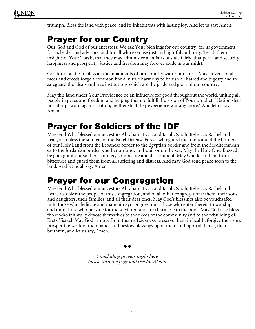

triumph. Bless the land with peace, and its inhabitants with lasting joy. And let us say: Amen.

Our God and God of our ancestors: We ask Your blessings for our country, for its government, for its leader and advisors, and for all who exercise just and rightful authority. Teach them insights of Your Torah, that they may administer all affairs of state fairly, that peace and security, happiness and prosperity, justice and freedom may forever abide in our midst.

Creator of all flesh, bless all the inhabitants of our country with Your spirit. May citizens of all races and creeds forge a common bond in true harmony to banish all hatred and bigotry and to safeguard the ideals and free institutions which are the pride and glory of our country.

May this land under Your Providence be an influence for good throughout the world, uniting all people in peace and freedom and helping them to fulfill the vision of Your prophet: "Nation shall not lift up sword against nation, neither shall they experience war any more." And let us say: Amen.

### **Prayer for Soldiers of the IDF**

May God Who blessed our ancestors Abraham, Isaac and Jacob, Sarah, Rebecca, Rachel and Leah, also bless the soldiers of the Israel Defense Forces who guard the interior and the borders of our Holy Land from the Lebanese border to the Egyptian border and from the Mediterranean ea to the Jordanian border whether on land, in the air or on the sea. May the Holy One, Blessed be god, grant our soldiers courage, composure and discernment. May God keep them from bitterness and guard them from all suffering and distress. And may God send peace soon to the land. And let us all say: Amen.

### . The contract of the contract of the contract of the contract of the contract of the contract of the contract of the contract of the contract of the contract of the contract of the contract of the contract of the contrac

May God Who blessed our ancestors Abraham, Isaac and Jacob, Sarah, Rebecca, Rachel and Leah, also bless the people of this congregation, and of all other congregations: them, their sons and daughters, their families, and all their dear ones. May God's blessings also be vouchsafed unto those who dedicate and maintain Synagogues, unto those who enter therein to worship, and unto those who provide for the wayfarer, and are charitable to the poor. May God also bless those who faithfully devote themselves to the needs of the community and to the rebuilding of Eretz Yisrael. May God remove from them all sickness, preserve them in health, forgive their sins, prosper the work of their hands and bestow blessings upon them and upon all Israel, their brethren, and let us say, Amen.

#### 

Concluding prayers begin here. Please turn the page and rise for Aleinu.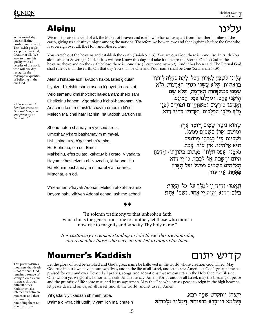H I L L E L

\$ ,%

- **Production of the State State** 

We acknowledge Israel's distinct position in the world. The Jewish people accept the one God, Creator of all. We look to share this quality with all peoples of the world who will one day recognize the redemptive qualities of believing in the one God.

At "ve-anachnu" bend the knees, at "kor'im" bow, and straighten up at "umodim"

This prayer assures mourners that death is not the end. God remains a source of strength even as one struggles through difficult times. Kaddish entails interaction between mourners and their community, reminding them not to retreat from

עלינו We must praise the God of all, the Maker of heaven and earth, who has set us apart from the other families of the earth, giving us a destiny unique among the nations. Therefore we bow in awe and thanksgiving before the One who is sovereign over all, the Holy and Blessed One.

You stretch out the heavens and establish the earth (Isaiah 51:13); You are our God; there is none else. In truth You alone are our Sovereign God, as it is written: Know this day and take it to heart: the Eternal One is God in the heavens above and on the earth below; there is none else (Deuteronomy 4:39). And it has been said: The Eternal God shall rule over all the earth; On that day You shall be One and Your name shall be One (Zechariah 14:9).

. . . . . .

- -!

Aleinu l'shabei-ach la-Adon hakol, lateit g'dulah L'yotzer b'reishit, shelo asanu k'goyei ha-aratzot, Velo samanu k'mishp'chot ha-adamah; shelo sam Chelkeinu kahem, v'goraleinu k'chol-hamonam. Va-Anachnu kor'im umish'tachavim umodim lif'nei Melech Mal'chei haM'lachim, haKadosh Baruch Hu.

Shehu noteh shamayim v'yoseid aretz, Umoshav y'karo bashamayim mima-al, Ush'chinat uzo b'gov'hei m'romim. Hu Eloheinu, ein od. Emet Mal'keinu, efes zulato, kakatuv b'Torato: V'yada'ta Hayom v'hasheivota el-l'vavecha, ki Adonai Hu Ha'Elohim bashamayim mima-al v'al ha-aretz Mitachat, ein od.

  ! # ) ! - בראשית, שלא עשנו כגוי # \$ שְׁמָנוּ כִּמְשִׁפִּחוֹת הָאֲדָמָה; שֶלֹא שָׂם $\psi$ 'לֵנוּ כִּכָל־הֲמוֹנַם. חלקנוּ כּהם. וגוֹרל & <sup>+</sup> - \_\_ \_ \_ the contract of the contract of the תחוים ומודי ואנחנו כורעים ומשתחוי ים. הַקַּדוֹשׁ בָּרוּדְ הוּא. \_\_ - " **"**  $\cdots$  " מלך מלכ

 $\mathcal{L} \subset \mathcal{L}$  . The set of  $\mathcal{L}$  is a set of  $\mathcal{L}$  , and  $\mathcal{L}$  is a set of  $\mathcal{L}$ 

 $\sim$  . The second contract of the second contract of the second contract of the second contract of the second contract of the second contract of the second contract of the second contract of the second contract of the sec \_ \_ \_ \_ . . . . . שהוא נוטה שמים ומושב יקרו בשמים ממעל. וּשָׁכִינַת עָזוֹ בְּגַבְהֵי מְרוֹמִים. - " , אַין עוד. אֱמֶת " . . . . . . ولوالد المرادي . . . . . - . . . . . . . הוא אלה מלכנו. אפס זולתו. ככתוב בתורתו: וידעת מלכ היום והשבת אל־לבבד, כי יי הוא - % הים בשמים ממעל ועל הארז' \_ . . . -- The state of the state of the state of the state of the state of the state of the state of the state of the אין עוד. " . . . . . . . . state the second control of the second control of the second control of the second control of the second control of

V'ne-emar: v'hayah Adonai l'Melech al-kol-ha-aretz; Bayom hahu yih'yeh Adonai echad, ush'mo echad!

וְנָאֱמַר: וְהָיָה יִיָ לִמֶלֶךְ עַל־כָּל־הָאָרֶץ; ַ בַּיּוֹם הַהוּא יִהְיֶה יִיָ אֶחָד. וּשָׁמוֹ אֶחָד!  $\ddotsc$   $\ddotsc$   $\ddotsc$ 

קדיש יתום

◆◆

"In solemn testimony to that unbroken faith which links the generations one to another, let those who mourn now rise to magnify and sanctify Thy holy name."

It is customary to remain standing to join those who are mourning and remember those who have no one left to mourn for them.

Let the glory of God be extolled and God's great name be hallowed in the world whose creation God willed. May God rule in our own day, in our own lives, and in the life of all Israel, and let us say: Amen. Let God's great name be praised for ever and ever. Beyond all praises, songs, and adorations that we can utter is the Holy One, the Blessed One, whom yet we glorify, honor, and exalt. And let us say: Amen. For us and for all Israel, may the blessing of peace and the promise of life come true, and let us say: Amen. May the One who causes peace to reign in the high heavens, let peace descend on us, on all Israel, and all the world, and let us say: Amen.

Yit'gadal v'yit'kadash sh'meih raba.

B'alma di-v'ra chir'uteih, v'yam'lich mal'chuteih

ו שמה רבא. יתגדל ויתקדש שמ . . . . . . ־עוּתהּ, וימלידּ מלכוּת בעלמא די־ברא כרעות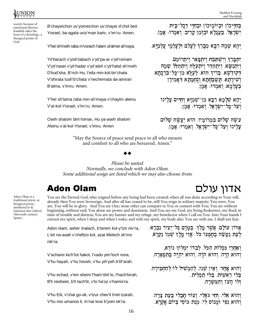

society because of emotional distress. Kaddish takes the form of a doxology, a liturgical praise of God.

B'chayeichon uv'yomeichon uv'chayei d'chol beit Yisrael, ba-agala uviz'man kariv, v'im'ru: Amen.

Y'hei sh'meih raba m'vorach l'alam ul'almei al'maya.

Yit'barach v'yish'tabach v'yit'pa-ar v'yit'romam V'yit'nasei v'yit'hadar v'yit'aleh v'yit'halal sh'meih D'kud'sha, B'rich Hu, l'eila min-kol-bir'chata V'shirata tush'b'chata v'nechemata da-amiran B'alma, v'imru: Amen.

Y'hei sh'lama raba min-sh'maya v'chayim aleinu V'al-kol-Yisrael, v'im'ru: Amen.

Oseh shalom bim'romav, Hu ya-aseh shalom Aleinu v'al-kol-Yisrael, v'imru: Amen

 - \$ ! " - . . . . . . . " - בחייכון וביומ  $\ddotsc$   $\ddotsc$ .<br>אמן טראל, בעגלא ובזמן קריב, ואמרו: אמ ! # -

ִצלִמֵי עַלְ<u>מִ</u>יּא. : שמה רבא מברד לעלם ולעלמ יהא שמ

יתִבְּרַךְ וְיִשְׁתַּבַּח וְיִתְפָּאַר וְיִתְרוֹמֵם. . . . . . . ריתנשׂא. ויתהדר ויתעלה ויתהלל שמ א. לעלא מו־כּל־בּרכתא \_ \_ \_ \_ \_ דקוּדשא, בריד הוא, לע בחתא ונחמתא דאמיר  ! ! \$ ! ! # - ,  .<br>אמן בעלמא. ואמרו: אמ

- ! יהא שלמא רבא מו־שמיא וחיי the contract of the contract of the contract of the contract of the contract of .<br>אמן טראל. ואמרו: אמ ! # - ! % 

\_ \_ \_ \_ עשה שלום במרומיו. הוא יעשה שלו .<br>אמן מראל. ואמרו: אמ**'**  ! # - ! %  - !

"May the Source of peace send peace to all who mourn and comfort to all who are bereaved. Amen."

#### 

Please be seated. Normally, we conclude with Adon Olam. Some additional songs are listed which we may also choose from.

# אדוו עולם

Adon Olam is a traditional piyut, or liturgical poem, attributed to R. Solomon ibn Gabirol (Eleventh-century Spain).

You are the Eternal God, who reigned before any being had been created; when all was done according to Your will, already then You were Sovereign. And after all has ceased to be, still You reign in solitary majesty; You were, You are, You will be in glory. And You are One; none other can compare to You or consort with You; You are without beginning, without end; You alone are power and dominion. And You are my God, my living Redeemer, my Rock in time of trouble and distress; You are my banner and my refuge, my benefactor when I call on You. Into Your hands I entrust my spirit, when I sleep and when I wake; and with my spirit, my body also: You are with me, I shall not fear.

Adon olam, asher malach, b'terem kol-y'tzir niv'ra, L'eit na-asah v'cheftzo kol, azai Melech sh'mo nik'ra.

V'acharei kich'lot hakol, l'vado yim'loch nora, V'hu hayah, v'hu hoveh, v'hu yih'yeh b'tif'arah.

V'hu echad, v'ein sheini l'ham'shil lo, l'hach'birah, B'li reisheet, b'li tach'lit, v'lo ha'oz v'hamis'ra.

V'hu Eili, v'chai go-ali, v'tzur chev'li b'eit tzarah, V'hu nisi umanos li, m'nat kosi b'yom ek'ra.

בטרם כל־יציר נברא. אדוז עולם. אשר מלד, בטר לְעֵת נַעֲשָׂה בְחֻפְּצוֹ כֹּל. אֲזַי מֵלֶךְ שְׁמֹוֹ נִקְרָא.

ואַחֲרֵי כִּכְלוֹת הַכֹּל. לְבַדוֹ יִמְלוֹךְ נוֹרָא, # בִּתְפִאַרָה. הוא היה. והוא הוה. והוא יהיה בתפ ו והוא ה

חָד. וְאֵין שֵׁנִי, לְהַמְשִׁיל לוֹ לְהַחִבִּירָה. - - - - - -והוא אחד. ו בלי ראשית, בלי תכלית, לו העז והמשרה. . . . . . #

עת צרה. י. וחי גאלי. וצוּר חבלי בעת צ והוא אלי, וחי ג בִּיוֹם אֵקְרָא. ומנוס לי. מנת כוסי ביו . . . . . והוא נסי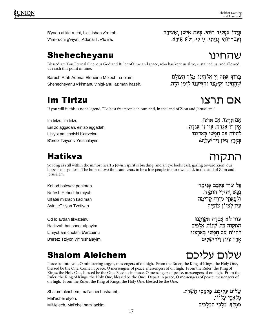B'yado af'kid ruchi, b'eit ishan v'a-irah, V'im-ruchi g'viyati, Adonai li, v'lo ira.

Shehecheyanu

Blessed are You Eternal One, our God and Ruler of time and space, who has kept us alive, sustained us, and allowed us reach this point in time.

Baruch Atah Adonai Eloheinu Melech ha-olam, Shehecheyanu v'ki'manu v'higi-anu laz'man hazeh.

### **Im Tirtzu**

If you will it, this is not a legend, "To be a free people in our land, in the land of Zion and Jerusalem."

Im tirtzu, im tirtzu, Ein zo aggadah, ein zo aggadah, Lihiyot am chofshi b'artzeinu, B'eretz Tziyon viYrushalayim.

### Hatikva

So long as still within the inmost heart a Jewish spirit is bustling, and an eye looks east, gazing toward Zion, our hope is not yet lost: The hope of two thousand years to be a free people in our own land, in the land of Zion and Jerusalem.

Kol od balevav penimah Nefesh Yehudi homiyah Ulfatei mizrach kadimah Ayin leTziyon Tzofiyah

Od lo avdah tikvateinu Hatikvah bat shnot alpayim Lihiyot am chofshi b'artzeinu B'eretz Tziyon viYrushalayim.

### **Shalom Aleichem**

Peace be unto you, O ministering angels, messengers of on high. From the Ruler, the King of Kings, the Holy One, blessed be the One. Come in peace, O messengers of peace, messengers of on high. From the Ruler, the King of Kings, the Holy One, blessed be the One. Bless us in peace, O messengers of peace, messengers of on high. From the Ruler, the King of Kings, the Holy One, blessed be the One. Depart in peace, O messengers of peace, messengers of on high. From the Ruler, the King of Kings, the Holy One, blessed be the One.

Shalom aleichem, mal'achei hashareit,

Mal'achei elyon.

MiMelech, Mal'chei ham'lachim

שהחינו

שהחינו וקימנו והגיענו לזמן הזה.

בְרוּךְ אַתָּה יִי אֱלֹהֵינוּ מֶלֶךְ הָעוֹלָם.

בְּיָדוֹ אַפְקִיד רוּחִי. בְּעֵת אִישַן וְאָעִירָה.

וְעָם־רוּחִי גְּוְיַתִי, יִי לִי, וְלֹא אִירַא.

אם תרצו. אם תרצו. אין זו אגדה. אין זו אגדה. להיות עם חפשי בארצנו בארץ ציון וירוש<u>ל</u>ים.

כל עוד בלבב פנימה נֵפֵשׁ יִהוּדִי הוֹמְיַּה. ולפאתי מזרח קדימה עין לציון צופיה

עוד לא אבדה תקותנו התקוה בת שנות אלפים להיות עם חפשי בארצנו אַרֵץ צִיּוֹן וִירוּשַׁ<u>ל</u>יִם

שלום עליכם

# אם תרצו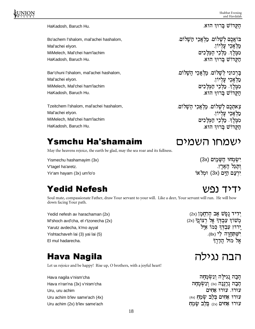Shabbat Evening and Havdalah

HaKadosh, Baruch Hu.

Bo'achem l'shalom, mal'achei hashalom, Mal'achei elyon. MiMelech, Mal'chei ham'lachim HaKadosh, Baruch Hu.

Bar'chuni l'shalom, mal'achei hashalom, Mal'achei elyon. MiMelech, Mal'chei ham'lachim HaKadosh, Baruch Hu.

Tzeitchem l'shalom, mal'achei hashalom, Mal'achei elyon. MiMelech, Mal'chei ham'lachim HaKadosh, Baruch Hu.

### Ysmchu Ha'shamaim

May the heavens rejoice, the earth be glad, may the sea roar and its fullness.

Yismechu hashamayim (3x) V'tagel ha'aretz. Yir'am hayam (3x) um'lo'o

### **Yedid Nefesh**

Soul mate, compassionate Father, draw Your servant to your will. Like a deer, Your servant will run. He will bow down facing Your path.

Yedid nefesh av harachaman (2x) M'shoch avd'cha, el r'tzonecha (2x) Yarutz avdecha, k'mo ayyal Yishtachaveh lai (3) yai lai (5) El mul hadarecha.

#### **Hava Nagila**

Let us rejoice and be happy! Rise up, O brothers, with a joyful heart!

Hava nagila v'nism'cha Hava n'ran'na (3x) v'nism'cha Uru, uru achim Uru achim b'lev same'ach (4x) Uru achim (2x) b'lev same'ach הקדוש ברוד הוא.

בואכם לשלום. מלאכי השלום. מלאכי עליון. ממלך, מלכי המלכים הקדוש ברוד הוא.

בַּרְכוּנִי לִשָּׁלוֹם. מַלְאֲכֵי הַשָּׁלוֹם. מַלְאַכֵי עַלִיוֹן. מִמֶּלֶךְ מַ<mark>ֹ</mark>ּלְכֵי הַמְּלַכִים הקדוש ברוד הוא.

צֵאתְכֶם לְשָׁלוֹם*.* מַלְאֲכֵי הַשָּׁלוֹם. מלאכי עליון. <del>ײַ</del>؛ אִײַ: '' ', ' ' |.<br>מִמֶּלֶךְ, מַלְכֵי הַמְּלַכִים הקדוש ברוד הוא.

### ישמחו השמים

ישמחו השמים (3x) וִתְגַל הַאֲרֶץ. ירעם הים (3x) ומלאו

### ידיד וריע

יִרִיד וָפֶשׁ אָב הָרַחֲמַן (2x) משור עבדר אל רצונר (2x) ירוץ עבדד כמו איל ישתחוה לי (8x). אל מול הדרד

## הבה נגילה

הכה נגילה ונשמחה הָבָה נְרָנְנָה (3x) וְנִשְׂמְחַה עורו. עורו אחים עורו אחים בלב שמח <sub>(4x)</sub> עוּרוּ אחִים (2x בלב שמח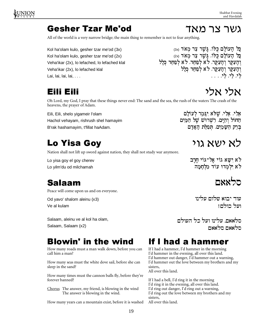All of the world is a very narrow bridge; the main thing to remember is not to fear anything.

Kol ha'olam kulo, gesher tzar me'od (3x) Kol ha'olam kulo, gesher tzar me'od (2x) Veha'ikar (2x), lo lefached, lo lefached klal Veha'ikar (2x), lo lefached klal Lai, lai, lai, lai, . . .

Eili Eili

Oh Lord, my God, I pray that these things never end: The sand and the sea, the rush of the waters The crash of the heavens, the prayer of Adam.

Eili, Eili, shelo yigameir l'olam Hachol vehayam, rishrush shel hamayim B'rak hashamayim, t'fillat haAdam.

## **Lo Yisa Gov**

Nation shall not lift up sword against nation, they shall not study war anymore.

Lo yisa goy el goy cherev Lo yilm'du od milchamah

### $Salaam$  and  $Salaam$

Peace will come upon us and on everyone.

Od yavo' shalom aleinu (x3) Ve al kulam

Salaam, aleinu ve al kol ha olam, Salaam, Salaam (x2)

### Blowin' in the wind If I had a hammer

How many roads must a man walk down, before you can call him a man?

How many seas must the white dove sail, before she can sleep in the sand?

How many times must the cannon balls fly, before they're forever banned?

Chorus The answer, my friend, is blowing in the wind The answer is blowing in the wind.

How many years can a mountain exist, before it is washed

If I had a hammer, I'd hammer in the morning I'd hammer in the evening, all over this land. I'd hammer out danger, I'd hammer out a warning, I'd hammer out the love between my brothers and my sisters, All over this land.

If I had a bell, I'd ring it in the morning I'd ring it in the evening, all over this land. I'd ring out danger, I'd ring out a warning, I'd ring out the love between my brothers and my sisters, All over this land.

אלי אלי

. . . . . " <sup>7</sup> <sup>6</sup> 7 <sup>6</sup> 7 החול והים. רשרוש של המים . . . . . . . . . . . . . . . . . . . ברק השמים. תפלת ה

# לא ישא גוי

לא ישא גוי אל־גוי חרב . . . . . . . . . . לא ילמדו עוד מלח

עוד יבוא שלום עלינו ועל רולחו

סלאאם סלאאם

תראאת עליוו ועל רל העולח

19

כל ה

גשר צר מאד

ני העוים כיו. גשר צר מאד <sub>(3x)</sub> כל העולם כלו. גשר צר מאד <sub>(2x)</sub> כל ה העקר. לא לפחד. לא לפחד כלל . . . . . . . . . . . ) . . . . . . ) העקר. לא לפחד כלל . . . . . . . . . . . ) . . . . . .  $\mathbf{r}$  , and the contract of the contract of the contract of the contract of the contract of the contract of the contract of the contract of the contract of the contract of the contract of the contract of the contract o ) . . . . <sup>6</sup> 6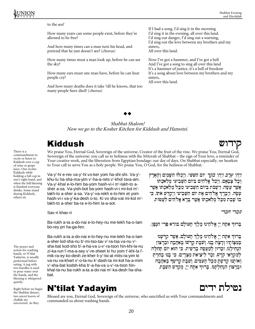#### to the sea?

How many years can some people exist, before they're allowed to be free?

And how many times can a man turn his head, and pretend that he just doesn't see? (chorus)

How many times must a man look up, before he can see the sky?

How many ears must one man have, before he can hear people cry?

And how many deaths does it take 'till he knows, that too many people have died? (chorus)

If I had a song, I'd sing it in the morning I'd sing it in the evening, all over this land. I'd sing out danger, I'd sing out a warning, I'd sing out the love between my brothers and my sisters, All over this land.

Now I've got a hammer, and I've got a bell And I've got a song to sing all over this land It's a hammer of justice, it's a bell of freedom It's a song about love between my brothers and my sisters, All over this land.

#### 

Shabbat Shalom! Now we go to the Kosher Kitchen for Kiddush and Hamotzi.

We praise You, Eternal God, Sovereign of the universe, Creator of the fruit of the vine. We praise You, Eternal God, Sovereign of the universe: you call us to holiness with the Mitzvah of Shabbat – the sign of Your love, a reminder of Your creative work, and the liberation from Egyptian bondage: our day of days. On Shabbat especially, we hearken to Your call to serve You as a holy people. We praise You, O God, for the holiness of Shabbat.

Va-y'-hi e-rev va-y'-hi vo-ker yom ha-shi-shi. Va-y' khu-lu ha-sha-ma-yim v'-ha-a-rets v'-khol tsva-am. Va-y'-khal e-lo-him ba-yom hash-vi-i m'-lakh-to asher a-sa. Va-yish-bot ba-yom hash-vi-i mi-kol m' lakh-to a-sher a-sa. Va-y'-va-rekh e-lo-him et yom hash-vi-i va-y'-ka-desh o-to. Ki vo sha-vat mi-kol m' lakh-to a-sher ba-ra e-lo-him la-a-sot.

Sav-ri khav-ri

Ba-rukh a-ta a-do-nai e-lo-hey-nu me-lekh ha-o-lam bo-rey pri ha-ga-fen.

Ba-rukh a-ta a-do-nai e-lo-hey-nu me-lekh ha-o-lam a-sher kid-sha-nu b'-mi-tso-tav v'-ra-tsa va-nu v' sha-bat kod-sho b'-a-ha-va u-v'-ra-tson hin-khi-la-nu zi-ka-run l'-ma-a-sey v'-re-sheet ki hu yom t'-khi-la l' mik-ra-ey ko-desh ze-kher li-y'-tsi-at mits-ra-yim ki va-nu va-khart v'-o-ta-nu k'-dash-ta mi-kol ha-a-mim v'-sha-bat kodsh-kha b'-a-ha-va u-v'-ra-tson hinkhal-ta-nu ba-rukh a-ta a-do-nai m'-ka-desh ha-shabat.

## <sup>L</sup> <sup>M</sup> <sup>N</sup> <sup>O</sup> <sup>P</sup> <sup>Q</sup> <sup>N</sup> <sup>R</sup> <sup>Q</sup> <sup>S</sup> <sup>Q</sup> <sup>T</sup> <sup>O</sup> <sup>U</sup> <sup>V</sup> <sup>W</sup> <sup>X</sup> <sup>W</sup> <sup>Y</sup> <sup>Z</sup> W[ \

Blessed are you, Eternal God, Sovereign of the universe, who sanctified us with Your commandments and commanded us about washing hands.

*יַיִּהִי עָרֵב וַיִּהִי בֹקֵר* יוֹם הַשִּׁשִּׁי. וַיִּכְלוּ הַשָּׁמַיִם וְהָאָרֵץ וכל צבאם. ויכל אלהים ביום השביעי מלאכתו אשר עשה. וישבת ביום השביעי מכל מלאכתו אשר טישה ויררה אלהית את יות השריטי ויתדש אתו. רי בו שבת מכל מלאכתו אשר ברא אלהים לעשות.

סברי חברי

קידוש

ברוד אתה יי אלהינו מלד העולם בורא פרי הנפו.

ברוד אתה יי אלהינו מלד העולם. אשר קדשנו במצותיו ורצה בנו. ושבת קדשו באהבה וברצוז הנחילנו. זכרוּז למעשה ברשית. כי הוא יום תחלה . למקראי קדש. זכר ליציאת מצרים. כי בנוּ בחרת ואותנוּ קדשת מכל העמים. ושבת קדשד באהבה וברצוז הנחלתנו. ברוד אתה יי. מקדש השבת.



There is a commandment to recite or listen to Kiddush over a cup of wine or grape juice. One recites Kiddush while holding a full cup in one's right hand, and when the full blessing is finished everyone drinks. Some stand during Kiddush, others sit.

The prayer and action for washing hands, or N'tilat Yadayim, is usually performed before eating. A jug with two handles is used to pour water over the hands, and the blessing is whispered quietly.

Right before we begin the Shabbat dinner, two uncut loaves of challah are uncovered. As they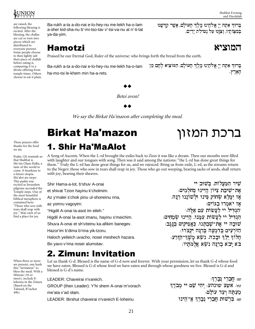

are raised, the following blessing is recited. After the blessing, the challas are cut or torn into pieces which are distributed to everyone present. Some people choose to then lightly salt their piece of challah before eating it, comparing it to a divine offering from temple times. Others choose to eat it plain.

Ba-rukh a-ta a-do-nai e-lo-hey-nu me-lekh ha-o-lam a-sher kid-sha-nu b'-mi-tso-tav v'-tsi-va-nu al n'-ti-lat ya-da-yim.

ברוד אתה יי אלהינו מלד העולם. אשר מדשנו - במצותיו. וצונוּ על נטילת ידים.

#### # \$ % & ' ( ) <sup>+</sup> , - . / \*

Praised be our Eternal God, Ruler of the universe: who brings forth the bread from the earth.

Ba-rukh a-ta a-do-nai e-lo-hey-nu me-lekh ha-o-lam ha-mo-tsi le-khem min ha-a-rets. ברוד אתה יי אלהינו מלד העולם. המוציא לחם מו הארץ.

 $\sim$  1

Betei avon!

N N

We say the Birkat Ha'mazon after completing the meal.

## ברכת המזון i 1. Shir Ha'MaAlot

A Song of Ascents. When the L-rd brought the exiles back to Zion it was like a dream. Then our mouths were filled with laughter and our tongues with song. Then was it said among the nations: "the L-rd has done great things for them." Truly the L-rd has done great things for us, and we rejoiced. Bring us from exile, L-rd, as the streams return to the Negev; those who sow in tears shall reap in joy. Those who go out weeping, bearing sacks of seeds, shall return with joy, bearing their sheaves.

recited as Jerusalem pilgrims ascended the Temple steps. One of the most beautiful biblical metaphors is "Those who sow with tears shall reap with joy." May each of us find a place for joy. Shir Hama-a-lot, b'shuv A-onai et shivat Tzion hayinu k'cholmim. Az y'malei s'chok pinu ul-shoneinu rina, az yomru vagoyim: "Higdil A-onai la-asot im eileh." Higdil A-onai la-asot imanu, hayinu s'meichim. Shuva A-onai et sh'viteinu ka-afikim banegev. Hazor'im b'dima b'rina yik-tzoru. Haloch yeileich uvacho, nosei meshech hazara.

Bo yavo v'rina nosei alumotav.

שיר המעלות. בשוב יי אח=ווורח טנוי היווי החלמות. אז ימַלֵא שׂחוֹק פִּינוּ וּלְשׁוֹנֵנוּ רְנַּה. אז לאמרו רוווה.  $\epsilon$  , and the distribution of  $\epsilon$ תוהיל יי ליוזות יומוג היווג וזמחיה. יווה לי עת-יווהוו בעתורת היור רו מאים בדמטה ברגה ומטרו. הלוד ילד ובכה. נשא משד־הזרע הע ורע ררוח וווע עלמחוד.

thanks for the food we ate. Psalm 126 reminds us that Shabbat is

Me'ein Olam HaBa, a taste of the world to come. It hearkens to a future utopia. Ma'alot are steps: This psalm was

contained here:

These prayers offer

When three or more are present, one leads this "invitation" to bless the meal. With a Minyan (10 or more), include Eloheinu in the Zimun (Based on the Talmud, B'rachot 49b).

## 2. Zimun: Invitation

Let us thank G-d. Blessed is the name of G-d now and forever. With your permission, let us thank G-d whose food we have eaten. Blessed is G-d whose food we have eaten and through whose goodness we live. Blessed is G-d and blessed is G-d's name.

LEADER: Chaveirai n'vareich. GROUP (then Leader): Y'hi shem A-onai m'vorach me'ata v'ad olam. LEADER: Birshut chaveirai n'vareich E-loheinu

 $v$  שצ: **חברי נבר**ך: \_\_\_ עוזוע וזורוריט. ירו וזות וו מר'רד אין ראל מין ה  $x$ צ: בּרשוּת חַבְרֵי נִבְרֶךְ אֱ־הֵינוּ  $w$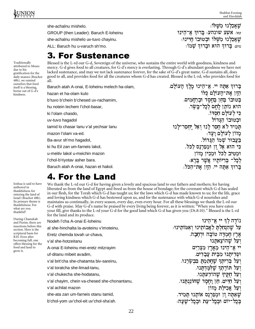שאכלנו משלו.

 $s \mapsto \tau$  , we can define

כל לילה המלכי וּבְטוּבוֹ הגדוֹל

מלול לולדות דווה.

בעבור שמו הגדול.

\_\_\_\_ עוזיט וזווררטי. ררור ע־רוו שאכלנו משלו ובטובו חיינו:  $\mathbf{F} = \mathbf{F} \mathbf{F} \mathbf{F} \mathbf{F} \mathbf{F} \mathbf{F} \mathbf{F} \mathbf{F} \mathbf{F} \mathbf{F} \mathbf{F} \mathbf{F} \mathbf{F} \mathbf{F} \mathbf{F} \mathbf{F} \mathbf{F} \mathbf{F} \mathbf{F} \mathbf{F} \mathbf{F} \mathbf{F} \mathbf{F} \mathbf{F} \mathbf{F} \mathbf{F} \mathbf{F} \mathbf{F} \mathbf{F} \mathbf{F} \mathbf{F} \mathbf{F} \mathbf{F} \mathbf{F} \mathbf{F} \math$ 

הרוה אהה לי א־הלוו מלה הטולה

ph rad care rad in radio c div i bu y fa o ration dans e traite dans la construction dans la construction dans la construction dans la

האילד לע החר לוו ועל והחר־לוו

 $\epsilon$ כי הוא אל זן ומפרנס לכל. ומטיב לכל ומכיו מזון ר רו ברנוחון עווור ברע.

ברוף אתה יי. הזן את־הכל:

she-achalnu mishelo.

GROUP (then Leader): Baruch E-loheinu

she-achalnu mishelo uv-tuvo chayinu.

ALL: Baruch hu u-varuch sh'mo.

Blessed is the L-rd our G-d, Sovereign of the universe, who sustains the entire world with goodness, kindness and mercy. G-d gives food to all creatures, for G-d's mercy is everlasting. Through G-d's abundant goodness we have not lacked sustenance, and may we not lack sustenance forever, for the sake of G-d's great name. G-d sustains all, does good to all, and provides food for all the creatures whom G-d has created. Blessed is the L-rd, who provides food for all.

Baruch atah A-onai, E-loheinu melech ha-olam, hazan et ha-olam kulo b'tuvo b'chein b'chesed uv-rachamim, hu notein lechem l'chol-basar, ki l'olam chasdo,

uv-tuvo hagadol

tamid lo chasar lanu v'al yechsar lanu

mazon l'olam va-ed.

Ba-avur sh'mo hagadol,

ki hu Eil zan um-farneis lakol,

u-meitiv lakol u-meichin mazon

l'chol-b'riyotav asher bara.

Baruch atah A-onai, hazan et hakol.

### 4. For the Land

We thank the L-rd our G-d for having given a lovely and spacious land to our fathers and mothers; for having liberated us from the land of Egypt and freed us from the house of bondage; for the covenant which G-d has sealed in our flesh, for the Torah which G-d has taught us; for the laws which G-d has made known to us; for the life, grace and loving kindness which G-d has bestowed upon us, and for the sustenance with which G-d nourishes and maintains us continually, in every season, every day, even every hour. For all these blessings we thank the L-rd our G-d with praise. May G-d's name be praised by every living being forever, as it is written: "When you have eaten your fill, give thanks to the L-rd your G-d for the good land which G-d has given you (Dt.8:10)." Blessed is the L-rd for the land and its produce.

| During Chanukah<br>and Purim, there are<br>insertions before this<br>section. Here is the<br>scriptural basis for<br>B.H. Even after<br>becoming full, one<br>offers blessing for the<br>food and land to<br>grow it. | Nodeh l'cha A-onai E-Ioheinu                 | נוֹדֵה לִךְ יי אֱ־הֵינוּ                          |
|-----------------------------------------------------------------------------------------------------------------------------------------------------------------------------------------------------------------------|----------------------------------------------|---------------------------------------------------|
|                                                                                                                                                                                                                       | al she-hinchalta la-avoteinu v'imoteinu.     | ַעַל שֶׁהְנְחַלְתָּ לַאֲבוֹתֵינוּ וִאָמּוֹתֵינוּ: |
|                                                                                                                                                                                                                       | Eretz chemda tovah ur-chava,                 | אֶרֶץ חֶמְדָּה טוֹבָה וּרְחָבָה.                  |
|                                                                                                                                                                                                                       | v'al she-hotzeitanu                          | ועל שהוצאתנו                                      |
|                                                                                                                                                                                                                       | A-onai E-loheinu mei-eretz mitzrayim         | יי אֱ־הֵינוּ מֵאֶרֶץ מִצְרַיִם                    |
|                                                                                                                                                                                                                       | uf-ditanu mibeit avadim,                     | ופריתוו מִבֵּית עֲבַדִים.                         |
|                                                                                                                                                                                                                       | v'al brit'cha she-chatamta biv-sareinu,      | וְעַל בְּרִיתְךָ שֶׁחָתַמְתָּ בִּבְשָׂרֵנוּ.      |
|                                                                                                                                                                                                                       | v'al toratcha she-limad-tanu,                | וְעַל תּוֹרַתְךְ שֵׁלִּמַּדְתֵּנוּ.               |
|                                                                                                                                                                                                                       | v'al chukecha she-hodatanu,                  | וִעַל חָקֶיךְ שֶׁהוֹדַעתּנוּ,                     |
|                                                                                                                                                                                                                       | v'al chayim, chein va-chesed she-chonantanu, | ִּרְעַל חַיִּים. חֵן וַחֶסֶד שֶׁחוֹנַנְתָּנוּ.    |
|                                                                                                                                                                                                                       | v'al achilat mazon                           | וִעַל אֲכִי <u>ל</u> ַת מַזוֹן                    |
|                                                                                                                                                                                                                       | she-ata zan um-farneis otanu tamid,          | שֵאַתָּה זַן וּמְפַרְנֵס אוֹתַנוּ תּמיד.          |
|                                                                                                                                                                                                                       | b'chol-yom uv'chol-eit uv'chol-sha'ah.       | בכל־יוֹם וּבכל־עת וּבכל־שׁעה:                     |
|                                                                                                                                                                                                                       |                                              |                                                   |

Traditionally attributed to Moses due to his gratification for the daily manna (Brachot 48b), we remind ourselves that food itself is a blessing, borne out of G-d's kindness.

Joshua is said to have authored in thankfulness for entering the land of Israel (Brachot 48b). Its primary theme is thankfulness: For what are you thankful?

During Chanukah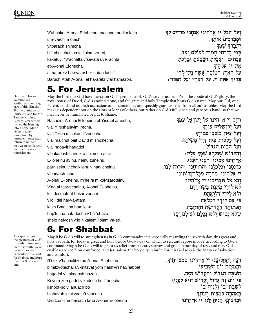V'al hakol A-onai E-loheinu anachnu modim lach um-varchim otach yitbarach shimcha b'fi chol chai tamid l'olam va-ed, kakatuv: "V'achalta v'savata uveirachta et-A-onai Elohecha al ha-aretz hatova asher natan lach." Baruch Atah A-onai, al ha-aretz v'al hamazon. רטל הרל לי צ־הלוג צוחוג מודלה לד ואררירות עותה. pa `m li bu da ] m התי רל־חל המלד לטולח וטד  $\bm{r}$  and  $\bm{r}$  is the sum factor  $\bm{r}$ אר־יי אלהיה  $r$  is a function of the function  $\alpha$  is a function for  $\alpha$ בּרוּדְ אַתַּה יי. עַל הָאָרֵץ וִעַל הַמָּזוֹן:

#### 5. For Jerusalem

May the L-rd our G-d have mercy on G-d's people Israel, G-d's city Jerusalem, Zion the abode of G-d's glory, the royal house of David, G-d's anointed one, and the great and holy Temple that bears G-d's name. May our G-d, our Parent, tend and nourish us, sustain and maintain us, and speedily grant us relief from all our troubles. May the L-rd make us dependent not on the alms or loans of others, but rather on G-d's full, open and generous hand, so that we may never be humiliated or put to shame.

| Racheim A-onai E-Ioheinu al Yisrael amecha, | ַרְחָם יי אֱ־הֵינוּ עַל ישׂרַאֵל עַמֵּךְ                    |
|---------------------------------------------|-------------------------------------------------------------|
| v'al Y'rushalayim irecha,                   | ועל ירושלים עירד.                                           |
| v'al Tzion mishkan k'vodecha,               | וִעַל צִיּוֹן מִשְׁכַּן כִּבוֹדֶךָ,                         |
| v'al malchut beit David m'shichecha,        | ועל מלכות בית דוד משיחר.                                    |
| v'al habayit hagadol                        | ועל הבית הגדול                                              |
| v'hakadosh shenikra shimcha alav.           | וִהַקַּדוֹשׁ שֶׁנִּקְרַא שָׁמְךָ עַלַיוּ:                   |
| E-loheinu avinu, r'einu zuneinu,            | אָ־הֵינוּ אַבִינוּ. רִעֲנוּ זוּנֵנוּ.                       |
| parn'seinu v'chalk'lenu v'harvicheinu,      | פּרִנְסֵנוּ וְכַלִּכְלֵנוּ וְהַרְוִיחֵנוּ. וְהַרְוַח־לַנוּ. |
| v'harvach-lanu,                             | יי אֱלֹהֶינוּ. מְהֶרָה מִכַּל־צַרוֹתְינוּ:                  |
| A-onai E-loheinu, m'heira mikol-tzaroteinu. | ונא אל תצריכנו יי אך הינו.                                  |
| V'na al tatz-richeinu, A-onai E-loheinu,    | לא לידי מַתְּנַת בַּשַׂר וַדָם                              |
| lo lidei matnat basar vadam                 | ולא לידי הלואתם.                                            |
| v'lo lidei hal-va-atam,                     | כי אם לידד המלאה                                            |
| ki im l'yad'cha ham'lei-a                   | הפתוחה הקדושה והרחבה.                                       |
| hap'tucha hak-dosha v'har'chava,            | שֵלֹּא נֵבוֹשׁ וְלֹא נִכַּלֵם לִעוֹלַם וַעֲד:               |
| shelo neivosh v'lo nikaleim l'olam va-ed.   |                                                             |

May it be G-d's will to strengthen us in G-d's commandments, especially regarding the seventh day, this great and holy Sabbath, for today is great and holy before G-d--a day on which to rest and repose in love, according to G-d's command. May it be G-d's will to grant us relief from all care, sorrow and grief on our day of rest, and may G-d enable us to see Zion comforted, and Jerusalem, the holy city, rebuilt. For it is G-d who is the Master of salvation and comfort.

| R'tzei v'hachalitzeinu A-onai E-loheinu           | רִצֶה וְהַחֲלִיצֵנוּ יי אֱ־הֵינוּ בִּמְצִווֹתֵיךָ. |
|---------------------------------------------------|----------------------------------------------------|
| b'mitzvotecha, uv-mitzvat yom hash'vi'i haShabbat | וּבְמְצְוַת יוֹם הַשָּׁבִיעִי                      |
| hagadol v'hakadosh hazeh.                         | הַשַּׁבָּת הַגָּדוֹל וְהַקָּדוֹשׁ הַזֶּה.          |
| Ki yom zeh gadol v'kadosh hu l'fanecha,           | כִּי יוֹם זֶה גַּדוֹל וַקֲדוֹשׁ הוּא לְפָנִיךָ,    |
| lishbot-bo v'lanuach bo                           | לְשְׁבַּת־בּוֹ וְלַנוּחַ בּוֹ                      |
| b'ahavah k'mitzvat r'tzonecha.                    | ּבְאַהֲבָה כִּמְצְוַת רְצוֹנֻךְ <del>ּ</del>       |
| Uvirtzon'cha haniach Ianu A-onai E-Ioheinu        | וּבְרְצוֹנְךְ הָנִיּחַ לָּנוּ יי אֲ־הָינוּ         |

David and his son Solomon are attributed to writing part of this (Brachot 48b) in gratitude for Jerusalem and for the Temple within it. Clearly, later writers turned the blessing into a hope: May a perfect reality, symbolized by Jerusalem, once again return to us. And may we never depend on other mortals for nourishment.

As a special sign of the greatness of G-d's first gift to humanity on the seventh day of creation, we are particularly thankful for Shabbat and hope that it will be a restful one.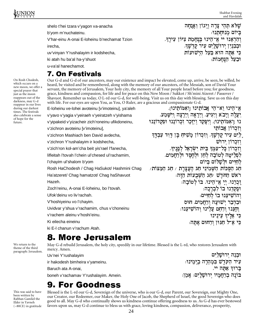On Rosh Chodesh, which occurs on a new moon, we offer a special prayer that just as the moon reappears out of the darkness, may G-d reappear in our lives during our darkest times. The festivals also celebrate a sense of hope for the future.

UNION Shabbat Evening and Havdalah

n \_ <sup>t</sup> d} ru \_ <sup>t</sup> pao e ] ba

וּבַעַל הַנְּחַמוֹת:

ווהע ההו ערה ויווי ועומה

<sup>c</sup> `z a u <sup>l</sup> ] hmo ] m fg `u \_ l ]a v ]it a ^m^a \_

כִּי אַתָּה הוּא בַּעַל הַיִּשׁוּעוֹת

וְהַרְאֲנוּ יִי אֵ־הֵינוּ בְּנְחַמַת צְיּוֹן עִירֵךְ.

shelo t'hei tzara v'yagon va-anacha

b'yom m'nuchateinu.

V'har-einu A-onai E-loheinu b'nechamat Tzion

irecha,

uv'vinyan Y'rushalayim ir kodshecha,

ki atah hu ba'al ha-y'shuot

u-va'al hanechamot.

#### -

Our G-d and G-d of our ancestors, may our existence and impact be elevated, come up, arrive, be seen, be willed, be heard, be visited and be remembered, along with the memory of our ancestors, of the Messiah, son of David Your servant, the memory of Jerusalem, Your holy city, the memory of all Your people Israel before you; for goodness, grace, kindness and compassion, for life and for peace on this New Moon / Sukkot / Sh'mini Atzeret / Passover / Shavuot. Remember us today, O L-rd our G-d, for well-being. Visit us on this day with blessing. Save us on this day

| with life. For our eyes are upon You, as You, O Ruler, are a gracious and compassionate G-d. |                                                                         |
|----------------------------------------------------------------------------------------------|-------------------------------------------------------------------------|
| E-loheinu ve-lohei avoteinu [v'imoteinu], ya'aleh                                            | אָ־הֵינוּ וֵא־הִי אֲבוֹתִינוּ וְואמּוֹתִינוּן.                          |
| v'yavo v'yagia v'yeiraeh v'yeiratzeh v'yishama                                               | ַיַּעֲלֶה וְיַבֹא וְיַגִּיעַ, וְיֶרָאֶה וְיֵרָצֶה וְיִשָּׁמַע.          |
| v'yipakeid v'yizacheir zich'roneinu ufikdoneinu,                                             | נוּ וַוֹאָמּוֹתֵינוּן, וִיפַּקֵד וְיַזְּכֵר זִכְרוֹנֵנוּ וּפִקְדוֹנֵנוּ |
| v'zichron avoteinu [v'imoteinu],                                                             | וזכרון אַבותי                                                           |
| v'zichron Mashiach ben David avdecha,                                                        | ַלַיִם עִיר קַדְשֶׁךְּ. וְזִכְרוֹן מָשִׁיחַ בֵּן דָּוִד עַבְדֶּךְ       |
| v'zichron Y'rushalayim ir kodshecha,                                                         | וזכרון ירוש                                                             |
| v'zich'ron kol-am'cha beit yis'rael l'fanecha,                                               | וִזְכְרוֹן כָּל־עַמִּךְ בֵּית יִשְׂרָאֵל לְפַנֵיךָ.                     |
| lifleitah l'tovah l'chein ul'chesed ul'rachamim,                                             | לִפְלֵיטָה לְטוֹבָה לְחֵן וּלְחֶסֶד וּלְרַחֲמִים.                       |
| l'chayim ul'shalom b'yom                                                                     | לחיים ולשלום ביום                                                       |
| Rosh HaChodesh / Chag HaSukot/ Hashmini Chag                                                 | ּחַג הַסְּכּוֹת הַשָּׁמִינִי חַג הַעֲצֶרֶת / חַג הַמַּצּוֹת/            |
| Ha'atzeret/ Chag hamatzot/ Chag haShavuot                                                    | ראש החדש ⁄חג השכעות הזה.                                                |
| Hazeh.                                                                                       | זַכְרֶנוּ, יִי אֵ־הֶינוּ, בּוֹ לְטוֹבָה:                                |
| Zoch'reinu, A-onai E-loheinu, bo l'tovah.                                                    | ופקדנו בו לברכה:                                                        |
| Ufok'deinu vo liv'rachah.                                                                    | והושיענו בו לחיים.                                                      |
| V'hoshiyeinu vo l'chayim.                                                                    | וּבְדְבַר יִשׁוּעַה וְרַחֲמִים. חוּס                                    |
| Uvidvar y'shua v'rachamim, chus v'choneinu                                                   | וְחַנְּנוּ וְרַחֵם עַלֵינוּ וְהוֹשִׁיעָנוּ:                             |
| v'rachem aleinu v'hoshi'einu.                                                                | כִּי אֵלֵיךְ עֵינֵינוּ                                                  |
| Ki eilecha eineinu                                                                           | כִּי אֶ־ל חַנּוּן וְרַחוּם אַתַּה:                                      |
| ki E-I chanun v'rachum Atah.                                                                 |                                                                         |

May G-d rebuild Jerusalem, the holy city, speedily in our lifetime. Blessed is the L-rd, who restores Jerusalem with mercy. Amen.

Uv'nei Y'rushalayim ir hakodesh bimheira v'yameinu. Baruch ata A-onai, boneh v'rachamav Y'rushalayim. Amein.

ירול ורוווליול  $\overline{a}$  ,  $\overline{a}$  ,  $\overline{b}$  ,  $\overline{c}$  ,  $\overline{c}$  ,  $\overline{c}$  ,  $\overline{c}$  ,  $\overline{c}$  ,  $\overline{c}$  ,  $\overline{c}$  ,  $\overline{c}$  ,  $\overline{c}$  ,  $\overline{c}$  ,  $\overline{c}$  ,  $\overline{c}$  ,  $\overline{c}$  ,  $\overline{c}$  ,  $\overline{c}$  ,  $\overline{c}$  ,  $\overline{c}$  , ברוך אתה יי. רוח ררמאוי ורווורות. עאי.

## 

This was said to have been written by Rabban Gamliel the Elder in Yavneh (~80CE) in gratitude

We return to the theme of the third paragraph: Jerusalem.

> Blessed is the L-rd our G-d, Sovereign of the universe, who is our G-d, our Parent, our Sovereign, our Mighty One, our Creator, our Redeemer, our Maker, the Holy One of Jacob, the Shepherd of Israel, the good Sovereign who does good to all. May G-d who continually shows us kindness continue offering goodness to us. As G-d has ever bestowed favors upon us, may G-d continue to bless us with grace, loving kindness, compassion, deliverance, prosperity,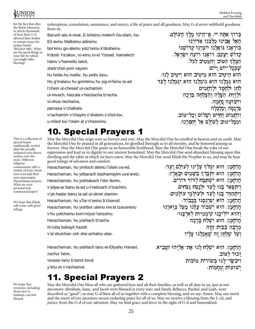H I L L E L

UNION Shabbat Evening and Havdalah

יי רלול ליל ייול

c k pu ru tz k hu \_ ` ] m k fu su fa i a <sup>k</sup> <sup>u</sup> tula ~i

רמו ורממרת ורממות

הרוה אהה וי צ־היון מרה הטולח האל אבינו מלכנו אדירנו

בוראנו גואלנו יוצרנו קדושנו קדוש יעקב. רואנו רועה ישראל.

הוא היטיב הוא מיטיב הוא ייטיב לנו: הוא גִמַלֵנוּ הוּא גוֹמְלֵנוּ הוּא יְגִמְלֵנוּ לַעֲד

המֵלֵךְ הַטּוֹב וְהַמֵּטִיב לַכּל.

k u lu ba k ru fu xa ki a <sup>k</sup> fu u ki <sup>c</sup> <sup>r</sup> <sup>i</sup> lz fa \_

ר בהאינה בהנניה ביוולדיה ברל-מנב וארל לילים מיוחד של יממחוו.

הרחמו. הוא ימלד עלינו לעולם ועד: הרחמו. הוא יתברד בשמים ובארץ: הרחמו. הוא ישתבח לדור דורים. ויתפאר בנוּ לעד וּלנצח נצחים. ויתהדר בנוּ לעד וּלעוֹלמי עוֹלמים:

הרחמן, הוא ישבור עלנוּ מעל צוארנוּ

הרחמו. הוא יפרנסנו בכבוד:

הרחמו. הוא ישלח ברכה

 $\mathbf{a} = \mathbf{b} + \mathbf{c}$  ,  $\mathbf{a} = \mathbf{c} + \mathbf{c} + \mathbf{c}$ 

מרבה בבית הזה

והוא יוליכנו קוממיות לארצנו:

for the fact that after the Beitar Massacre, in which thousands of Jews died, G-d allowed their bodies to remain intact for proper burial (Brachot 48b). What are the good things in your life for which you might offer blessing?

redemption, consolation, sustenance, and mercy; a life of peace and all goodness. May G-d never withhold goodness from us.

Baruch ata A-onai, E-loheinu melech ha-olam, ha-Eil avinu Malkeinu adireinu

bor'einu go-aleinu yotz'reinu k'dosheinu

k'dosh Ya'akov, ro-einu ro-ei Yisrael, hamelech

hatov v'hameitiv lakol,

sheb'chol-yom vayom

hu heitiv,hu meitiv, hu yeitiv lanu.

Hu g'malanu hu gomleinu hu yig-m'leinu la-ad

l'chein ul-chesed ul-rachamim

ul-revach, hatzala v'hatzlacha b'racha

vi-shua nechama,

parnasa v'chalkala

v'rachamim v'chayim v'shalom v'chol-tov,

u-mikol tuv l'olam al y'chasreinu.

## **10. Special Prayers 1**

May the Merciful One reign over us forever and ever. May the Merciful One be extolled in heaven and on earth. May the Merciful One be praised in all generations, be glorified through us to all eternity, and be honored among us forever. May the Merciful One grant us an honorable livelihood. May the Merciful One break the yoke of our oppression and lead us in dignity to our ancient homeland. May the Merciful One send abundant blessing upon this dwelling and the table at which we have eaten. May the Merciful One send Elijah the Prophet to us, and may he bear good tidings of salvation and comfort.

Harachaman, hu yimloch aleinu l'olam va-ed. Harachaman, hu yitbarach bashamayim uva'aretz. Harachaman, hu yishtabach l'dor dorim, v'yitpa-ar banu la-ad u-l'neitzach n'tzachim, v'yit-hadar banu la-ad ul-olmei olamim. Harachaman, hu y'far-n'seinu b'chavod. Harachaman, hu yishbor uleinu me'al tzavareinu v'hu yolicheinu kom'miyut l'artzeinu. Harachaman, hu yishlach b'racha m'ruba babayit hazeh v'al shulchan zeh she-achalnu alav.

Harachaman, hu yishlach lanu et-Eliyahu Hanavi, zachur latov,

vivaser-lanu b'sorot tovot

y'shu-ot v'nechamot.

#### <sup>C</sup> - **District Contract Contract Contract Contract Contract Contract Contract Contract Contract Contract Contract C 11. Special Prayers 2**

We hope that everyone, including those new to Judaism, can feel blessed.

May the Merciful One bless all who are gathered here and all their families, as well as all dear to us, just as our ancestors: Abraham, Isaac, and Jacob were blessed in every way; and Sarah, Rebecca, Rachel, and Leah, were described as "good"; so may G-d bless all of us together with a complete blessing, and we say: Amen. May our merit and the merit of our ancestors secure enduring peace for all of us. May we receive a blessing from the L-rd, and justice from the G-d of our salvation. May we find grace and favor in the sight of G-d and humankind.

traditionally recited after the actually ordained texts above, written over the years. Different religious communities offer a variety of texts. Some Jews even add their own impromptu Harachaman prayers. What are your personal and communal hopes?

This is a collection of special hopes

We hope that Elijah will come with good tidings

הרחמו. הוא ישלח לנו את־אליהו הנביא. זכור לטוב. ויבשר־לנוּ בשורות טובות ייייים לילולי לה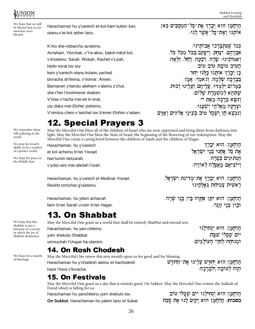



We hope that we will be blessed just as our ancestors were blessed.

We remember those

still suffering in the

We pray for Israel's

of a perfect world.

the Middle East.

ability to be a symbol

We hope for peace in

world.

Harachaman hu y'vareich et-kol-ham'subim kan, otanu-v'et-kol asher lanu.

K'mo she-nitbarchu avoteinu: Avraham, Yitzchak, v'Ya-akov, bakol mikol kol, v'imoteinu: Sarah, Rivkah, Rachel v'Leah, heitiv tovat tov tov kein y'vareich otanu kulanu yachad bivracha sh'leima, v'nomar: Amein. Bamarom y'lamdu aleihem v'aleinu z'chut, she-t'hei l'mishmeret shalom. V'nisa v'racha mei-eit A-onai, utz-daka mei-Elohei yisheinu. V'nimtza chein v'seichel tov b'einei Elohim v'adam. הָרַחֲמָן הוּא יְבָרֵךְ אֶת־כָּל־הַמְסֻבִּים כַּאן. אוֹתַנוּ וְאֵת־כַּל־אֲשֶׁר לַנוּ:

כמו שנתברכו אבותינו: אַבְרָהָם. יִצְחָק, וְיַעֲקֹב,בַּכֹּל מִכֹּל כֹּל, ואמותינו: שרה. רבקה. רחל. ולאה. הטיב טובת טוב טוב כֵן יִכְרֵךְ אוֹתֵנוּ כִּלְנוּ יחד בברכה שלמה. ונאמר: אמן: בַּמַרוֹם יִלַמְדוּ. עֲלֵיהֶם וְעֹלִינוּ זְכוּת. שתהא למשמרת שלום. ונשׂא ברכה מאת יי. וצדקה מאלהי ישענו: וְנִמְצָא חֶן וְשָׂכֵל טוֹב בְּעֵינֵי אֱלֹהִים וַאדם

### **12. Special Prayers 3**

May the Merciful One bless all of the children of Israel who are now oppressed and bring them from darkness into light. May the Merciful One bless the State of Israel, the beginning of the flowering of our redemption. May the Merciful One create a caring bond between the children of Sarah and the children of Hagar.

Harachaman, hu y'variech et kol acheinu b'nei Yisrael han'tunim betzarah, v'yotzi-eim mei-afeilah l'orah.

הַרַחֲמַן, הוּא יִבְרֶךְ את כל אחנו בני ישראל הנתונים בצרה. ויוציאם מאפלה לאורה:

Harachaman, hu y'varech et Medinat Yisrael, Reishit tzmichat g'ulateinu.

הַרַחֲמַן. הוּא יִבָרֶךְ אֵת־מִדִינַת יִשְׂרָאֵל. רֵאשִׁית צְמִיחַת גַּאֲלַתֵּינוּ

Harachaman, hu yitein achavah bein b'nei Sarah u'vein b'nei Hagar.

Harachaman, hu yan-chileinu

umnuchah l'chayei ha-olamim.

yom shekulo Shabbat

<u>הרחמן, הוא יתן אחרה בין בני שבה</u> וּבין בּני הגר:

### 13. On Shabbat

May the Merciful One grant us a world that shall be entirely Shabbat and eternal rest.

הַרַחֲמַן. הוּא יִנְחִילֵנוּ יום שכלו שבת ומנוחה לחיי העולמים.

הַזָּה לִטוֹּבָה וִלְבְרַכַה:

#### 14. On Rosh Chodesh

May the Merciful One renew this new month upon us for good and for blessing. הַרַחֲמָן הוּא יִחַדֵּשׁ עַלֵינוּ אֵת־הַחֹדֵשׁ Harachaman hu y'chadesh aleinu et hachodesh haze l'tova v'livracha.

#### **15. On Festivals**

May the Merciful One grant us a day that is entirely good. On Sukkot: May the Merciful One restore the Sukkah of David which is falling for us.

Harachaman hu yanchileinu yom shekulo tov.

On Sukkot: Harachaman hu yakim lanu et Sukat

הַרַחֲמַן הוּא יַנִחִילֵנוּ יוֹם שֵׁכָּלוֹ טוֹב

בסכות: הַרַחֲמֵן הוּא יַקִים לַנוּ אֶת סִכֵּת

We hope that this Shabbat is just a foretaste of a society in which the joy of Shabbat dominates.

We hope for a month

of blessings.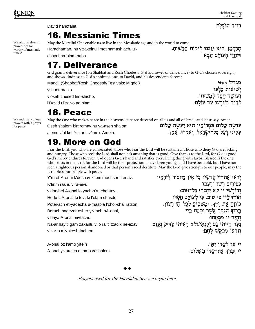#### דַוִיד הַנּפַלַת

ישועות מלכו

,<br>ועושה חסד למשיחו

לדוד ולזרעו עד עולם:

We ask ourselves in prayer: Are we worthy of messianic times?

**16. Messianic Times** 

May the Merciful One enable us to live in the Messianic age and in the world to come.

Harachaman, hu y'zakeinu limot hamashiach, ulchavei ha-olam haba.

הרחמן. הוא יזכוו לימות המשיח. וּלחיי העולם הבא:

### **17. Deliverance**

G-d grants deliverance (on Shabbat and Rosh Chodesh: G-d is a tower of deliverance) to G-d's chosen sovereign, and shows kindness to G-d's anointed one, to David, and his descendents forever. מגדיל מגדול

Magdil (Shabbat/Rosh Chodesh/Festivals: Migdol)

yshuot malko

David hanofalet.

v'oseh chesed lim-shicho,

l'David ul'zar-o ad olam.

### 18. Peace

We end many of our prayers with a prayer for peace.

May the One who makes peace in the heavens let peace descend on all us and all of Israel, and let us say: Amen. עושה שלום במרומיו הוא יעשה שלום Oseh shalom bimromav hu ya-aseh shalom עלינו ועל כל־ישראל, ואמרו: אמן: aleinu v'al kol-Yisrael, v'imru: Amein.

## **19. More on God**

Fear the L-rd, you who are consecrated; those who fear the L-rd will be sustained. Those who deny G-d are lacking and hungry. Those who seek the L-rd shall not lack anything that is good. Give thanks to the L-rd, for G-d is good; G-d's mercy endures forever. G-d opens G-d's hand and satisfies every living thing with favor. Blessed is the one who trusts in the L-rd, for the L-rd will be their protection. I have been young, and I have been old, but I have not seen a righteous person abandoned or that person's seed destitute. May the L-rd give strength to our people; may the L-rd bless our people with peace. יִראוּ אֶת־יי קִדשַׁיו כִּי אֵין מַחִסוֹר לִירֵאיו:  $\cdots$  $\sim$   $\sim$ 

| Y'ru et-A-onai k'doshav ki ein machsor lirei-av.     |
|------------------------------------------------------|
| K'firim rashu v'ra-eivu                              |
| v'dorshei A-onai lo yach-s'ru chol-tov.              |
| Hodu L'A-onai ki tov, ki l'olam chasdo.              |
| Potei-ach et-yadecha u-masbia l'chol-chai ratzon.    |
| Baruch hagever asher yivtach bA-onai,                |
| v'haya A-onai mivtacho.                              |
| Na-ar hayiti gam zakanti, v'lo ra'iti tzadik ne-ezav |
| v'zar-o m'vakesh-lachem.                             |
|                                                      |
| $\Lambda$ anoi az l'amo vitoin                       |

כפירים רשו ורעבו .<br>וְדוֹרְשֵׁי יי לֹא יַחְסְרוּ כַל־טוֹב: הודו ליי כי טוב, כי לעולם חסדו פותח את־ידך, ומשביע לכל־חי רצון: ברון הגבר אַשר יִבְטַח בַּיי. והיה יי מבטחו: נער הייתי גם זקנתי,ולא ראיתי צדיק נעזב וזרעו מבקש־לחם:

A-onai oz l'amo yitein A-onai y'vareich et amo vashalom.

יי עז לעמו יתן. יי יִבְרֶךְ אֶת־עַמּוֹ בַשַּׁלוֹם:

Prayers used for the Havdalah Service begin here.